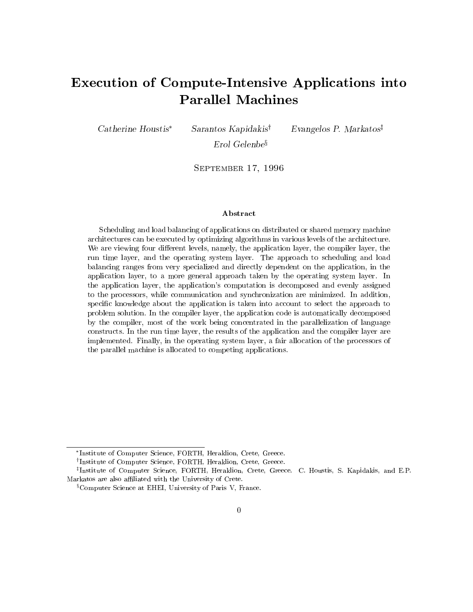# Execution of Compute-Intensive Applications into Parallel Machines

Catherine Houstis\*

 $Sarantos Kapidakis^{\dagger}$  Evangelos P. Markatos<sup>‡</sup>  $Erol$  Gelenbe $\S$ 

September 17, <sup>1996</sup>

### Abstract

Scheduling and load balancing of applications on distributed or shared memory machinearchitectures can be executed by optimizing algorithms in various levels of the architecture.We are viewing four different levels, namely, the application layer, the compiler layer, the run time layer, and the operating system layer. The approach to scheduling and load balancing ranges from very specialized and directly dependent on the application, in the application layer, to <sup>a</sup> more general approach taken by the operating system layer. In the application layer, the application's computation is decomposed and evenly assigned to the processors, while communication and synchronization are minimized. In addition, specic knowledge about the application is taken into account to select the approach to problem solution. In the compiler layer, the application code is automatically decomposed by the compiler, most of the work being concentrated in the parallelization of language constructs. In the run time layer, the results of the application and the compiler layer are implemented. Finally, in the operating system layer, a fair allocation of the processors of the parallel machine is allocated to competing applications.

<sup>y</sup> Institute of Computer Science, FORTH, Heraklion, Crete, Greece.

Institute of Computer Science, FORTH, Heraklion, Crete, Greece.

<sup>z</sup> Institute of Computer Science, FORTH, Heraklion, Crete, Greece. C. Houstis, S. Kapidakis, and E.P. Markatos are also affiliated with the University of Crete.

 $SComputer Science$  at EHEI, University of Paris V, France.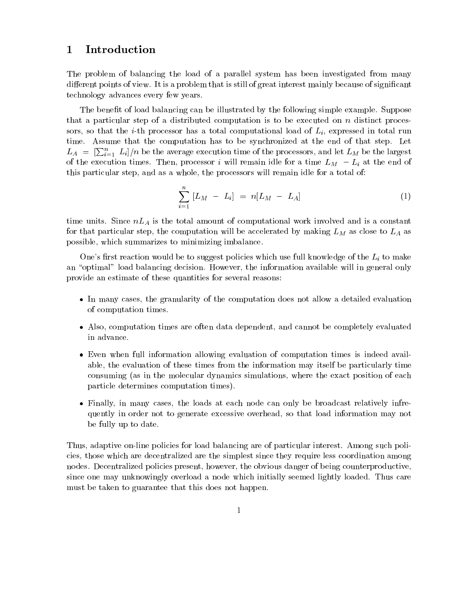# 1 Introduction

The problem of balancing the load of a parallel system has been investigated from many different points of view. It is a problem that is still of great interest mainly because of significant technology advances every few years.

The benet of load balancing can be illustrated by the following simple example. Suppose that a particular step of a distributed computation is to be executed on  $n$  distinct processors, so that the *i*-th processor has a total computational load of  $L_i$ , expressed in total run time. Assume that the computation has to be synchronized at the end of that step. Let  $L_A = [\sum_{i=1}^n L_i]/n$  be the average execution time of the processors, and let  $L_M$  be the largest of the execution times. Then, processor i will remain idle for a time  $L_M - L_i$  at the end of this particular step, and as a whole, the processors will remain idle for a total of:

$$
\sum_{i=1}^{n} [L_M - L_i] = n[L_M - L_A]
$$
 (1)

time units. Since  $nL_A$  is the total amount of computational work involved and is a constant for that particular step, the computation will be accelerated by making  $L_M$  as close to  $L_A$  as possible, which summarizes to minimizing imbalance.

One's first reaction would be to suggest policies which use full knowledge of the  $L_i$  to make an "optimal" load balancing decision. However, the information available will in general only provide an estimate of these quantities for several reasons:

- In many cases, the granularity of the computation does not allow <sup>a</sup> detailed evaluation of computation times.
- Also, computation times are often data dependent, and cannot be completely evaluated in advance.
- Even when full information allowing evaluation of computation times is indeed available, the evaluation of these times from the information may itself be particularly time consuming (as in the molecular dynamics simulations, where the exact position of each particle determines computation times).
- Finally, in many cases, the loads at each node can only be broadcast relatively infrequently in order not to generate excessive overhead, so that load information may not be fully up to date.

Thus, adaptive on-line policies for load balancing are of particular interest. Among such policies, those which are decentralized are the simplest since they require less coordination among nodes. Decentralized policies present, however, the obvious danger of being counterproductive, since one may unknowingly overload a node which initially seemed lightly loaded. Thus care must be taken to guarantee that this does not happen.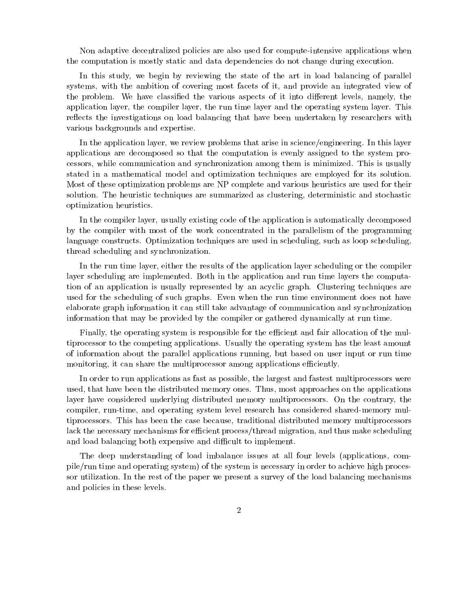Non adaptive decentralized policies are also used for compute-intensive applications when the computation is mostly static and data dependencies do not change during execution.

In this study, we begin by reviewing the state of the art in load balancing of parallel systems, with the ambition of covering most facets of it, and provide an integrated view of the problem. We have classified the various aspects of it into different levels, namely, the application layer, the compiler layer, the run time layer and the operating system layer. This reflects the investigations on load balancing that have been undertaken by researchers with various backgrounds and expertise.

In the application layer, we review problems that arise in science/engineering. In this layer applications are decomposed so that the computation is evenly assigned to the system processors, while communication and synchronization among them is minimized. This is usually stated in a mathematical model and optimization techniques are employed for its solution. Most of these optimization problems are NP complete and various heuristics are used for their solution. The heuristic techniques are summarized as clustering, deterministic and stochastic optimization heuristics.

In the compiler layer, usually existing code of the application is automatically decomposed by the compiler with most of the work concentrated in the parallelism of the programming language constructs. Optimization techniques are used in scheduling, such as loop scheduling, thread scheduling and synchronization.

In the run time layer, either the results of the application layer scheduling or the compiler layer scheduling are implemented. Both in the application and run time layers the computation of an application is usually represented by an acyclic graph. Clustering techniques are used for the scheduling of such graphs. Even when the run time environment does not have elaborate graph information it can still take advantage of communication and synchronization information that may be provided by the compiler or gathered dynamically at run time.

Finally, the operating system is responsible for the efficient and fair allocation of the multiprocessor to the competing applications. Usually the operating system has the least amount of information about the parallel applications running, but based on user input or run time monitoring, it can share the multiprocessor among applications efficiently.

In order to run applications as fast as possible, the largest and fastest multiprocessors were used, that have been the distributed memory ones. Thus, most approaches on the applications layer have considered underlying distributed memory multiprocessors. On the contrary, the compiler, run-time, and operating system level research has considered shared-memory multiprocessors. This has been the case because, traditional distributed memory multiprocessors lack the necessary mechanisms for efficient process/thread migration, and thus make scheduling and load balancing both expensive and difficult to implement.

The deep understanding of load imbalance issues at all four levels (applications, compile/run time and operating system) of the system is necessary in order to achieve high processor utilization. In the rest of the paper we present a survey of the load balancing mechanisms and policies in these levels.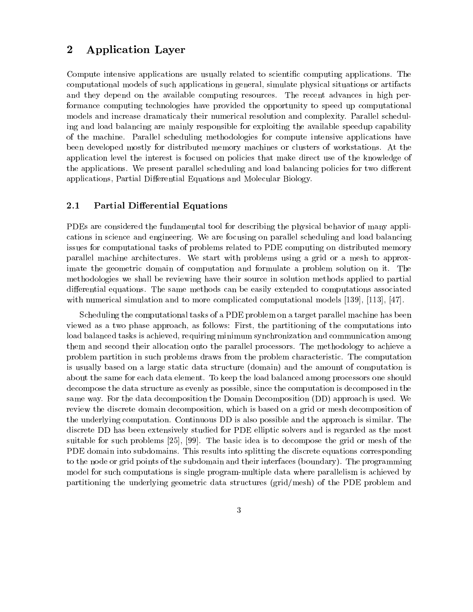# 2 Application Layer

Compute intensive applications are usually related to scientic computing applications. The computational models of such applications in general, simulate physical situations or artifacts and they depend on the available computing resources. The recent advances in high performance computing technologies have provided the opportunity to speed up computational models and increase dramaticaly their numerical resolution and complexity. Parallel scheduling and load balancing are mainly responsible for exploiting the available speedup capability of the machine. Parallel scheduling methodologies for compute intensive applications have been developed mostly for distributed memory machines or clusters of workstations. At the application level the interest is focused on policies that make direct use of the knowledge of the applications. We present parallel scheduling and load balancing policies for two different applications, Partial Differential Equations and Molecular Biology.

### $2.1$ Partial Differential Equations

PDEs are considered the fundamental tool for describing the physical behavior of many applications in science and engineering. We are focusing on parallel scheduling and load balancing issues for computational tasks of problems related to PDE computing on distributed memory parallel machine architectures. We start with problems using a grid or a mesh to approximate the geometric domain of computation and formulate a problem solution on it. The methodologies we shall be reviewing have their source in solution methods applied to partial differential equations. The same methods can be easily extended to computations associated with numerical simulation and to more complicated computational models [139], [113], [47].

Scheduling the computational tasks of a PDE problem on a target parallel machine has been viewed as a two phase approach, as follows: First, the partitioning of the computations into load balanced tasks is achieved, requiring minimum synchronization and communication among them and second their allocation onto the parallel processors. The methodology to achieve a problem partition in such problems draws from the problem characteristic. The computation is usually based on a large static data structure (domain) and the amount of computation is about the same for each data element. To keep the load balanced among processors one should decompose the data structure as evenly as possible, since the computation is decomposed in the same way. For the data decomposition the Domain Decomposition (DD) approach is used. We review the discrete domain decomposition, which is based on a grid or mesh decomposition of the underlying computation. Continuous DD is also possible and the approach is similar. The discrete DD has been extensively studied for PDE elliptic solvers and is regarded as the most suitable for such problems [25], [99]. The basic idea is to decompose the grid or mesh of the PDE domain into subdomains. This results into splitting the discrete equations corresponding to the node or grid points of the subdomain and their interfaces (boundary). The programming model for such computations is single program-multiple data where parallelism is achieved by partitioning the underlying geometric data structures (grid/mesh) of the PDE problem and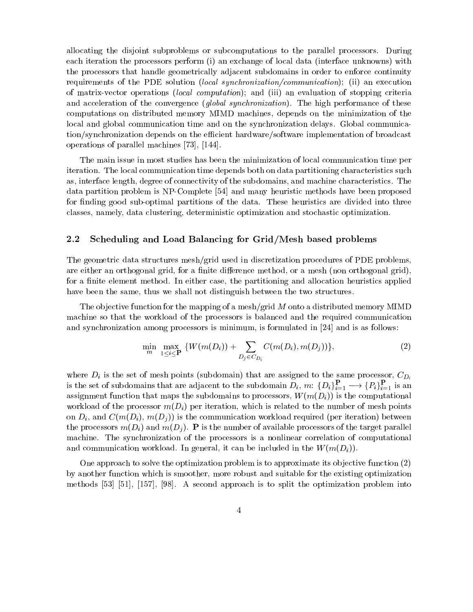allocating the disjoint subproblems or subcomputations to the parallel processors. During each iteration the processors perform (i) an exchange of local data (interface unknowns) with the processors that handle geometrically adjacent subdomains in order to enforce continuity requirements of the PDE solution (local synchronization/communication); (ii) an execution of matrix-vector operations (local computation); and (iii) an evaluation of stopping criteria and acceleration of the convergence *(global synchronization)*. The high performance of these computations on distributed memory MIMD machines, depends on the minimization of the local and global communication time and on the synchronization delays. Global communication/synchronization depends on the efficient hardware/software implementation of broadcast operations of parallel machines [73], [144].

The main issue in most studies has been the minimization of local communication time per iteration. The local communication time depends both on data partitioning characteristics such as, interface length, degree of connectivity of the subdomains, and machine characteristics. The data partition problem is NP-Complete [54] and many heuristic methods have been proposed for finding good sub-optimal partitions of the data. These heuristics are divided into three classes, namely, data clustering, deterministic optimization and stochastic optimization.

### 2.2 Scheduling and Load Balancing for Grid/Mesh based problems

The geometric data structures mesh/grid used in discretization procedures of PDE problems, are either an orthogonal grid, for a finite difference method, or a mesh (non orthogonal grid), for a finite element method. In either case, the partitioning and allocation heuristics applied have been the same, thus we shall not distinguish between the two structures.

The objective function for the mapping of a mesh/grid  $M$  onto a distributed memory MIMD machine so that the workload of the processors is balanced and the required communication and synchronization among processors is minimum, is formulated in [24] and is as follows:

$$
\min_{m} \max_{1 \le i \le \mathbf{P}} \{ W(m(D_i)) + \sum_{D_j \in C_{D_i}} C(m(D_i), m(D_j)) \},\tag{2}
$$

where  $D_i$  is the set of mesh points (subdomain) that are assigned to the same processor,  $C_{D_i}$ is the set of subdomains that are adjacent to the subdomain  $D_i$ ,  $m: \{D_i\}_{i=1}^r \longrightarrow \{P_i\}_{i=1}^r$  is an assignment function that maps the subdomains to processors,  $W(m(D_i))$  is the computational workload of the processor  $m(D_i)$  per iteration, which is related to the number of mesh points on  $D_i$ , and  $C(m(D_i), m(D_i))$  is the communication workload required (per iteration) between the processors  $m(D_i)$  and  $m(D_j)$ . **P** is the number of available processors of the target parallel machine. The synchronization of the processors is a nonlinear correlation of computational and communication workload. In general, it can be included in the  $W(m(D_i))$ .

One approach to solve the optimization problem is to approximate its objective function  $(2)$ by another function which is smoother, more robust and suitable for the existing optimization methods [53] [51], [157], [98]. A second approach is to split the optimization problem into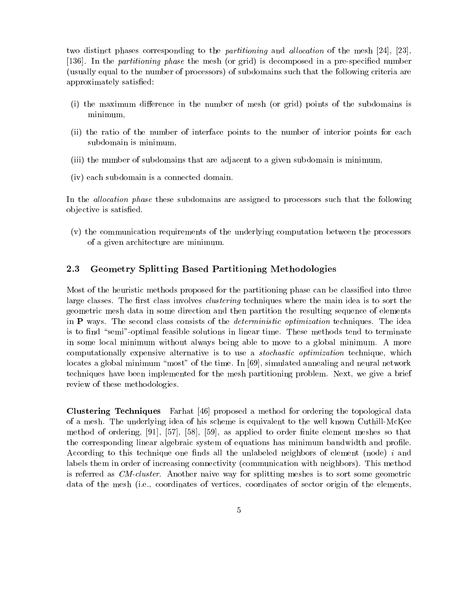two distinct phases corresponding to the *partitioning* and *allocation* of the mesh  $[24]$ ,  $[23]$ , [136]. In the *partitioning phase* the mesh (or grid) is decomposed in a pre-specified number (usually equal to the number of processors) of subdomains such that the following criteria are approximately satisfied:

- $(i)$  the maximum difference in the number of mesh (or grid) points of the subdomains is minimum,
- (ii) the ratio of the number of interface points to the number of interior points for each subdomain is minimum,
- (iii) the number of subdomains that are adjacent to a given subdomain is minimum,
- (iv) each subdomain is a connected domain.

In the *allocation phase* these subdomains are assigned to processors such that the following objective is satisfied.

(v) the communication requirements of the underlying computation between the processors of a given architecture are minimum.

### 2.3 Geometry Splitting Based Partitioning Methodologies

Most of the heuristic methods proposed for the partitioning phase can be classified into three large classes. The first class involves *clustering* techniques where the main idea is to sort the geometric mesh data in some direction and then partition the resulting sequence of elements in **P** ways. The second class consists of the *deterministic optimization* techniques. The idea is to find "semi"-optimal feasible solutions in linear time. These methods tend to terminate in some local minimum without always being able to move to a global minimum. A more computationally expensive alternative is to use a *stochastic optimization* technique, which locates a global minimum "most" of the time. In  $[69]$ , simulated annealing and neural network techniques have been implemented for the mesh partitioning problem. Next, we give a brief review of these methodologies.

Clustering Techniques Farhat [46] proposed a method for ordering the topological data of a mesh. The underlying idea of his scheme is equivalent to the well known Cuthill-McKee method of ordering, [91], [57], [58], [59], as applied to order nite element meshes so that the corresponding linear algebraic system of equations has minimum bandwidth and profile. According to this technique one finds all the unlabeled neighbors of element (node)  $i$  and labels them in order of increasing connectivity (communication with neighbors). This method is referred as CM-cluster. Another naive way for splitting meshes is to sort some geometric data of the mesh (i.e., coordinates of vertices, coordinates of sector origin of the elements,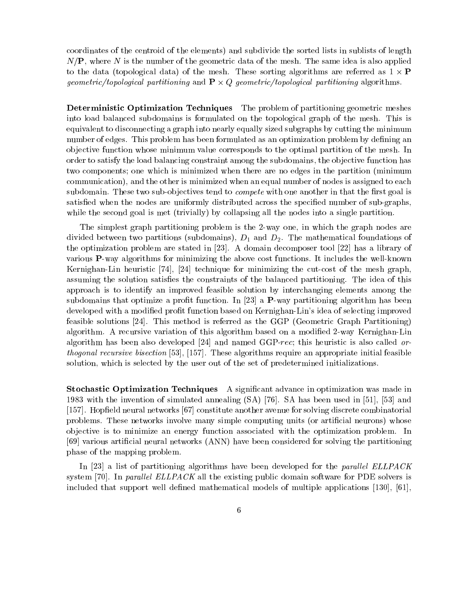coordinates of the centroid of the elements) and subdivide the sorted lists in sublists of length  $N/P$ , where N is the number of the geometric data of the mesh. The same idea is also applied to the data (topological data) of the mesh. These sorting algorithms are referred as <sup>1</sup> - <sup>P</sup> geometric/topological partitioning and  $\mathbf{P}\times Q$  geometric/topological partitioning algorithms.

 $D$  overmining  $D$  of  $D$  is determining the problem of problem of partitioning geometric meshes  $D$ into load balanced subdomains is formulated on the topological graph of the mesh. This is equivalent to disconnecting a graph into nearly equally sized subgraphs by cutting the minimum number of edges. This problem has been formulated as an optimization problem by defining an ob jective function whose minimum value corresponds to the optimal partition of the mesh. In order to satisfy the load balancing constraint among the subdomains, the ob jective function has two components; one which is minimized when there are no edges in the partition (minimum communication), and the other is minimized when an equal number of nodes is assigned to each subdomain. These two sub-objectives tend to *compete* with one another in that the first goal is satisfied when the nodes are uniformly distributed across the specified number of sub-graphs, while the second goal is met (trivially) by collapsing all the nodes into a single partition.

The simplest graph partitioning problem is the 2-way one, in which the graph nodes are divided between two partitions (subdomains),  $D_1$  and  $D_2$ . The mathematical foundations of the optimization problem are stated in [23]. A domain decomposer tool [22] has a library of various P-way algorithms for minimizing the above cost functions. It includes the well-known Kernighan-Lin heuristic [74], [24] technique for minimizing the cut-cost of the mesh graph, assuming the solution satisfies the constraints of the balanced partitioning. The idea of this approach is to identify an improved feasible solution by interchanging elements among the subdomains that optimize a profit function. In  $[23]$  a **P**-way partitioning algorithm has been developed with a modified profit function based on Kernighan-Lin's idea of selecting improved feasible solutions [24]. This method is referred as the GGP (Geometric Graph Partitioning) algorithm. A recursive variation of this algorithm based on a modied 2-way Kernighan-Lin algorithm has been also developed [24] and named GGP-rec; this heuristic is also called orthogonal recursive bisection [53], [157]. These algorithms require an appropriate initial feasible solution, which is selected by the user out of the set of predetermined initializations.

Stochastic Optimization Techniques A signicant advance in optimization was made in 1983 with the invention of simulated annealing (SA) [76]. SA has been used in [51], [53] and [157]. Hopfield neural networks  $[67]$  constitute another avenue for solving discrete combinatorial problems. These networks involve many simple computing units (or articial neurons) whose ob jective is to minimize an energy function associated with the optimization problem. In [69] various articial neural networks (ANN) have been considered for solving the partitioning phase of the mapping problem.

In [23] a list of partitioning algorithms have been developed for the parallel  $ELLPACK$ system [70]. In *parallel ELLPACK* all the existing public domain software for PDE solvers is included that support well defined mathematical models of multiple applications  $[130]$ ,  $[61]$ ,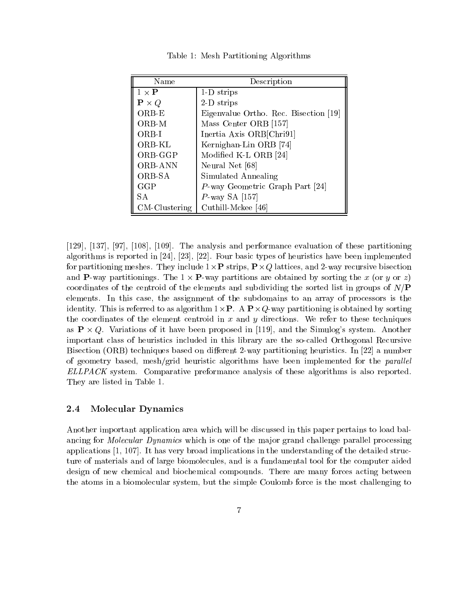| Name                  | Description                           |
|-----------------------|---------------------------------------|
| $1 \times P$          | 1-D strips                            |
| $\mathbf{P} \times Q$ | 2-D strips                            |
| ORB-E                 | Eigenvalue Ortho. Rec. Bisection [19] |
| ORB-M                 | Mass Center ORB [157]                 |
| ORB-I                 | Inertia Axis ORB [Chri91]             |
| ORB-KL                | Kernighan-Lin ORB [74]                |
| ORB-GGP               | Modified K-L ORB [24]                 |
| ORB-ANN               | Neural Net [68]                       |
| ORB-SA                | Simulated Annealing                   |
| GGP                   | P-way Geometric Graph Part [24]       |
| SА                    | $P$ -way SA [157]                     |
| CM-Clustering         | Cuthill-Mckee [46]                    |

Table 1: Mesh Partitioning Algorithms

[129], [137], [97], [108], [109]. The analysis and performance evaluation of these partitioning algorithms is reported in [24], [23], [22]. Four basic types of heuristics have been implemented for partitioning meshes. They include  $1\times$  P strips,  $P\times Q$  lattices, and 2-way recursive bisection and P-way partitionings. The 1  $\times$  P-way partitions are obtained by sorting the x (or y or z) coordinates of the centroid of the elements and subdividing the sorted list in groups of  $N/\mathbf{P}$ elements. In this case, the assignment of the subdomains to an array of processors is the identity. This is referred to as algorithm  $1{\times}\mathbf{P}$ . A  $\mathbf{P}{\times}Q$ -way partitioning is obtained by sorting the coordinates of the element centroid in  $x$  and  $y$  directions. We refer to these techniques as  $P \times Q$ . Variations of it have been proposed in [119], and the Simulog's system. Another important class of heuristics included in this library are the so-called Orthogonal Recursive Bisection (ORB) techniques based on different 2-way partitioning heuristics. In [22] a number of geometry based, mesh/grid heuristic algorithms have been implemented for the *parallel* ELLPACK system.Comparative preformance analysis of these algorithms is also reported. They are listed in Table 1.

### 2.4 Molecular Dynamics

Another important application area which will be discussed in this paper pertains to load balancing for *Molecular Dynamics* which is one of the major grand challenge parallel processing applications [1, 107]. It has very broad implications in the understanding of the detailed structure of materials and of large biomolecules, and is a fundamental tool for the computer aided design of new chemical and biochemical compounds. There are many forces acting between the atoms in a biomolecular system, but the simple Coulomb force is the most challenging to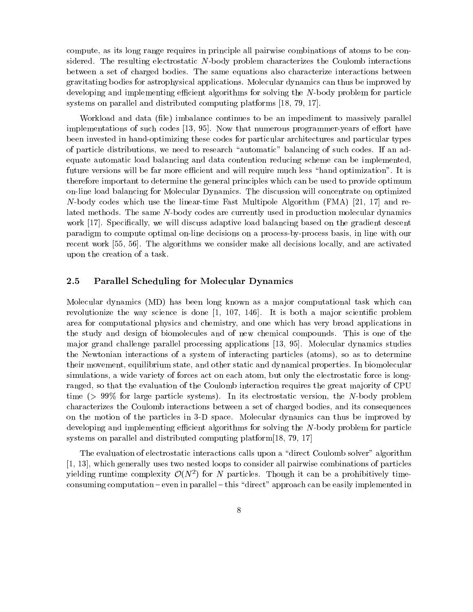compute, as its long range requires in principle all pairwise combinations of atoms to be considered. The resulting electrostatic N-body problem characterizes the Coulomb interactions between a set of charged bodies. The same equations also characterize interactions between gravitating bodies for astrophysical applications. Molecular dynamics can thus be improved by developing and implementing efficient algorithms for solving the  $N$ -body problem for particle systems on parallel and distributed computing platforms [18, 79, 17].

Workload and data (file) imbalance continues to be an impediment to massively parallel implementations of such codes  $[13, 95]$ . Now that numerous programmer-years of effort have been invested in hand-optimizing these codes for particular architectures and particular types of particle distributions, we need to research "automatic" balancing of such codes. If an adequate automatic load balancing and data contention reducing scheme can be implemented, future versions will be far more efficient and will require much less "hand optimization". It is therefore important to determine the general principles which can be used to provide optimum on-line load balancing for Molecular Dynamics. The discussion will concentrate on optimized N-body codes which use the linear-time Fast Multipole Algorithm (FMA) [21, 17] and related methods. The same N-body codes are currently used in production molecular dynamics work [17]. Specifically, we will discuss adaptive load balancing based on the gradient descent paradigm to compute optimal on-line decisions on a process-by-process basis, in line with our recent work [55, 56]. The algorithms we consider make all decisions locally, and are activated upon the creation of a task.

### 2.5 Parallel Scheduling for Molecular Dynamics

Molecular dynamics (MD) has been long known as a major computational task which can revolutionize the way science is done  $\left[1, 107, 146\right]$ . It is both a major scientific problem area for computational physics and chemistry, and one which has very broad applications in the study and design of biomolecules and of new chemical compounds. This is one of the ma jor grand challenge parallel processing applications [13, 95]. Molecular dynamics studies the Newtonian interactions of a system of interacting particles (atoms), so as to determine their movement, equilibrium state, and other static and dynamical properties. In biomolecular simulations, a wide variety of forces act on each atom, but only the electrostatic force is longranged, so that the evaluation of the Coulomb interaction requires the great majority of CPU time  $(> 99\%$  for large particle systems). In its electrostatic version, the N-body problem characterizes the Coulomb interactions between a set of charged bodies, and its consequences on the motion of the particles in 3-D space. Molecular dynamics can thus be improved by developing and implementing efficient algorithms for solving the  $N$ -body problem for particle systems on parallel and distributed computing platform[18, 79, 17]

The evaluation of electrostatic interactions calls upon a "direct Coulomb solver" algorithm [1, 13], which generally uses two nested loops to consider all pairwise combinations of particles vielding runtime complexity  $\mathcal{O}(N^2)$  for N particles. Though it can be a prohibitively timeconsuming computation  $-$  even in parallel  $-$  this "direct" approach can be easily implemented in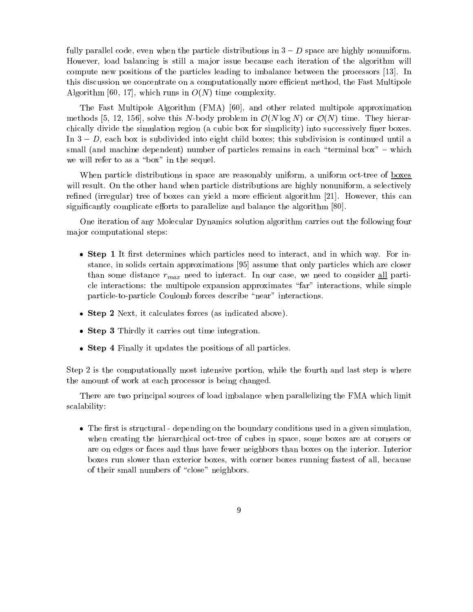fully parallel code, even when the particle distributions in  $3-D$  space are highly nonuniform. However, load balancing is still a major issue because each iteration of the algorithm will compute new positions of the particles leading to imbalance between the processors [13]. In this discussion we concentrate on a computationally more efficient method, the Fast Multipole Algorithm [60, 17], which runs in  $O(N)$  time complexity.

The Fast Multipole Algorithm (FMA) [60], and other related multipole approximation methods [5, 12, 156], solve this N-body problem in  $\mathcal{O}(N \log N)$  or  $\mathcal{O}(N)$  time. They hierarchically divide the simulation region (a cubic box for simplicity) into successively finer boxes. In  $3 - D$ , each box is subdivided into eight child boxes; this subdivision is continued until a small (and machine dependent) number of particles remains in each "terminal box" - which we will refer to as a "box" in the sequel.

When particle distributions in space are reasonably uniform, a uniform oct-tree of boxes will result. On the other hand when particle distributions are highly nonuniform, a selectively refined (irregular) tree of boxes can yield a more efficient algorithm  $[21]$ . However, this can significantly complicate efforts to parallelize and balance the algorithm [80].

One iteration of any Molecular Dynamics solution algorithm carries out the following four major computational steps:

- Step 1 It first determines which particles need to interact, and in which way. For instance, in solids certain approximations [95] assume that only particles which are closer than some distance  $r_{max}$  need to interact. In our case, we need to consider all particle interactions: the multipole expansion approximates \far" interactions, while simple particle-to-particle Coulomb forces describe "near" interactions.
- Step <sup>2</sup> Next, it calculates forces (as indicated above).
- Step <sup>3</sup> Thirdly it carries out time integration.
- Step <sup>4</sup> Finally it updates the positions of all particles.

Step 2 is the computationally most intensive portion, while the fourth and last step is where the amount of work at each processor is being changed.

There are two principal sources of load imbalance when parallelizing the FMA which limit scalability:

 $\bullet$  The first is structural - depending on the boundary conditions used in a given simulation, when creating the hierarchical oct-tree of cubes in space, some boxes are at corners or are on edges or faces and thus have fewer neighbors than boxes on the interior. Interior boxes run slower than exterior boxes, with corner boxes running fastest of all, because of their small numbers of "close" neighbors.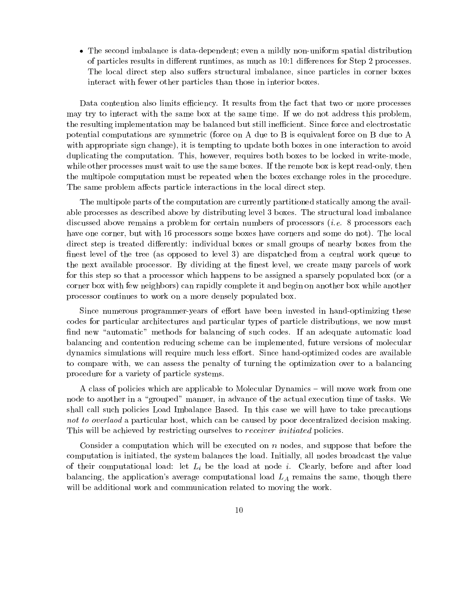The second imbalance is data-dependent; even a mildly non-uniform spatial distribution of particles results in different runtimes, as much as 10:1 differences for Step 2 processes. The local direct step also suffers structural imbalance, since particles in corner boxes interact with fewer other particles than those in interior boxes.

Data contention also limits efficiency. It results from the fact that two or more processes may try to interact with the same box at the same time. If we do not address this problem, the resulting implementation may be balanced but still inefficient. Since force and electrostatic potential computations are symmetric (force on A due to B is equivalent force on B due to A with appropriate sign change), it is tempting to update both boxes in one interaction to avoid duplicating the computation. This, however, requires both boxes to be locked in write-mode, while other processes must wait to use the same boxes. If the remote box is kept read-only, then the multipole computation must be repeated when the boxes exchange roles in the procedure. The same problem affects particle interactions in the local direct step.

The multipole parts of the computation are currently partitioned statically among the available processes as described above by distributing level 3 boxes. The structural load imbalance discussed above remains a problem for certain numbers of processors (*i.e.* 8 processors each have one corner, but with 16 processors some boxes have corners and some do not). The local direct step is treated differently: individual boxes or small groups of nearby boxes from the finest level of the tree (as opposed to level 3) are dispatched from a central work queue to the next available processor. By dividing at the finest level, we create many parcels of work for this step so that a processor which happens to be assigned a sparsely populated box (or a corner box with few neighbors) can rapidly complete it and begin on another box while another processor continues to work on a more densely populated box.

Since numerous programmer-years of effort have been invested in hand-optimizing these codes for particular architectures and particular types of particle distributions, we now must find new "automatic" methods for balancing of such codes. If an adequate automatic load balancing and contention reducing scheme can be implemented, future versions of molecular dynamics simulations will require much less effort. Since hand-optimized codes are available to compare with, we can assess the penalty of turning the optimization over to a balancing procedure for a variety of particle systems.

A class of policies which are applicable to Molecular Dynamics – will move work from one node to another in a "grouped" manner, in advance of the actual execution time of tasks. We shall call such policies Load Imbalance Based. In this case we will have to take precautions not to overland a particular host, which can be caused by poor decentralized decision making. This will be achieved by restricting ourselves to *receiver initiated* policies.

Consider a computation which will be executed on  $n$  nodes, and suppose that before the computation is initiated, the system balances the load. Initially, all nodes broadcast the value of their computational load: let  $L_i$  be the load at node i. Clearly, before and after load balancing, the application's average computational load  $L_A$  remains the same, though there will be additional work and communication related to moving the work.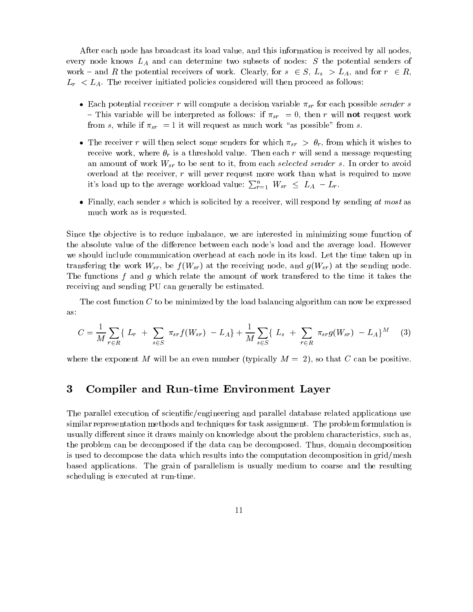After each node has broadcast its load value, and this information is received by all nodes, every node knows  $L_A$  and can determine two subsets of nodes: S the potential senders of work – and R the potential receivers of work. Clearly, for  $s \in S$ ,  $L_s > L_A$ , and for  $r \in R$ ,  $L_r < L_A$ . The receiver initiated policies considered will then proceed as follows:

- Each potential receiver r will compute a decision variable  $\pi_{sr}$  for each possible sender s - This variable will be interpreted as follows: if  $\pi_{sr} = 0$ , then r will not request work from s, while if  $\pi_{sr} = 1$  it will request as much work "as possible" from s.
- The receiver r will then select some senders for which  $\pi_{sr} > \theta_r$ , from which it wishes to receive work, where  $\theta_r$  is a threshold value. Then each r will send a message requesting an amount of work  $W_{sr}$  to be sent to it, from each selected sender s. In order to avoid overload at the receiver,  $r$  will never request more work than what is required to move it's load up to the average workload value:  $\sum_{r=1}^{n} W_{sr} \leq L_A - L_r$ .
- Finally, each sender s which is solicited by a receiver, will respond by sending at most as much work as is requested.

Since the objective is to reduce imbalance, we are interested in minimizing some function of the absolute value of the difference between each node's load and the average load. However we should include communication overhead at each node in its load. Let the time taken up in transfering the work  $W_{sr}$ , be  $f(W_{sr})$  at the receiving node, and  $g(W_{sr})$  at the sending node. The functions  $f$  and  $g$  which relate the amount of work transfered to the time it takes the receiving and sending PU can generally be estimated.

The cost function C to be minimized by the load balancing algorithm can now be expressed as:

$$
C = \frac{1}{M} \sum_{r \in R} \{ L_r + \sum_{s \in S} \pi_{sr} f(W_{sr}) - L_A \} + \frac{1}{M} \sum_{s \in S} \{ L_s + \sum_{r \in R} \pi_{sr} g(W_{sr}) - L_A \}^M \tag{3}
$$

where the exponent M will be an even number (typically  $M = 2$ ), so that C can be positive.

## 3 Compiler and Run-time Environment Layer

The parallel execution of scientic/engineering and parallel database related applications use similar representation methods and techniques for task assignment. The problem formulation is usually different since it draws mainly on knowledge about the problem characteristics, such as, the problem can be decomposed if the data can be decomposed. Thus, domain decomposition is used to decompose the data which results into the computation decomposition in grid/mesh based applications. The grain of parallelism is usually medium to coarse and the resulting scheduling is executed at run-time.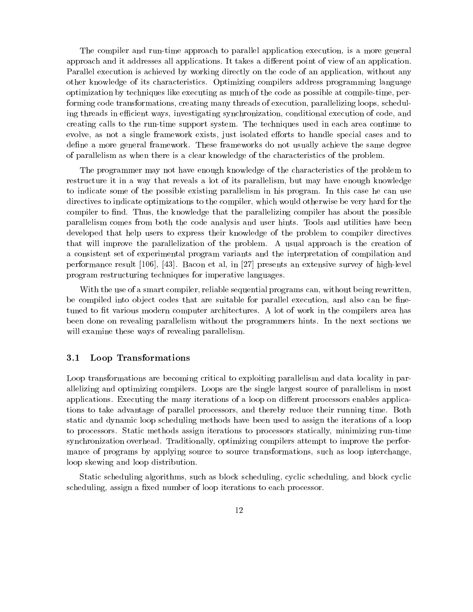The compiler and run-time approach to parallel application execution, is a more general approach and it addresses all applications. It takes a different point of view of an application. Parallel execution is achieved by working directly on the code of an application, without any other knowledge of its characteristics. Optimizing compilers address programming language optimization by techniques like executing as much of the code as possible at compile-time, performing code transformations, creating many threads of execution, parallelizing loops, scheduling threads in efficient ways, investigating synchronization, conditional execution of code, and creating calls to the run-time support system. The techniques used in each area continue to evolve, as not a single framework exists, just isolated efforts to handle special cases and to define a more general framework. These frameworks do not usually achieve the same degree of parallelism as when there is a clear knowledge of the characteristics of the problem.

The programmer may not have enough knowledge of the characteristics of the problem to restructure it in a way that reveals a lot of its parallelism, but may have enough knowledge to indicate some of the possible existing parallelism in his program. In this case he can use directives to indicate optimizations to the compiler, which would otherwise be very hard for the compiler to find. Thus, the knowledge that the parallelizing compiler has about the possible parallelism comes from both the code analysis and user hints. Tools and utilities have been developed that help users to express their knowledge of the problem to compiler directives that will improve the parallelization of the problem. A usual approach isthe creation of a consistent set of experimental program variants and the interpretation of compilation and performance result [106], [43]. Bacon et al, in [27] presents an extensive survey of high-level program restructuring techniques for imperative languages.

With the use of a smart compiler, reliable sequential programs can, without being rewritten, be compiled into object codes that are suitable for parallel execution, and also can be finetuned to fit various modern computer architectures. A lot of work in the compilers area has been done on revealing parallelism without the programmers hints. In the next sections we will examine these ways of revealing parallelism.

### 3.1 Loop Transformations

Loop transformations are becoming critical to exploiting parallelism and data locality in parallelizing and optimizing compilers. Loops are the single largest source of parallelism in most applications. Executing the many iterations of a loop on different processors enables applications to take advantage of parallel processors, and thereby reduce their running time. Both static and dynamic loop scheduling methods have been used to assign the iterations of a loop to processors. Static methods assign iterations to processors statically, minimizing run-time synchronization overhead. Traditionally, optimizing compilers attempt to improve the performance of programs by applying source to source transformations, such as loop interchange, loop skewing and loop distribution.

Static scheduling algorithms, such as block scheduling, cyclic scheduling, and block cyclic scheduling, assign a fixed number of loop iterations to each processor.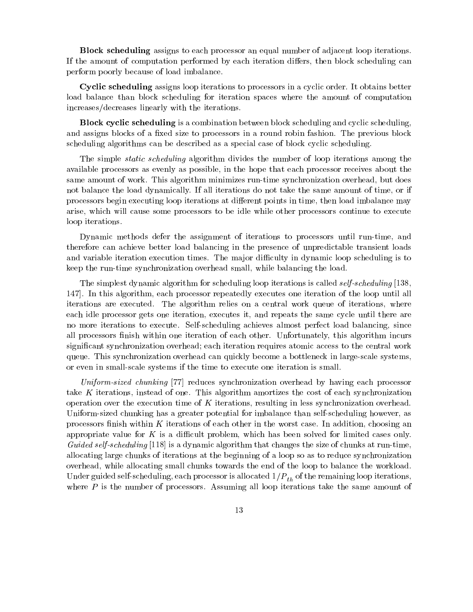Block scheduling assigns to each processor an equal number of adjacent loop iterations. If the amount of computation performed by each iteration differs, then block scheduling can perform poorly because of load imbalance.

Cyclic scheduling assigns loop iterations to processors in a cyclic order. It obtains better load balance than block scheduling for iteration spaces where the amount of computation increases/decreases linearly with the iterations.

Block cyclic scheduling is a combination between block scheduling and cyclic scheduling, and assigns blocks of a fixed size to processors in a round robin fashion. The previous block scheduling algorithms can be described as a special case of block cyclic scheduling.

The simple *static scheduling* algorithm divides the number of loop iterations among the available processors as evenly as possible, in the hope that each processor receives about the same amount of work. This algorithm minimizes run-time synchronization overhead, but does not balance the load dynamically. If all iterations do not take the same amount of time, or if processors begin executing loop iterations at dierent points in time, then load imbalance may arise, which will cause some processors to be idle while other processors continue to execute loop iterations.

Dynamic methods defer the assignment of iterations to processors until run-time, and therefore can achieve better load balancing in the presence of unpredictable transient loads and variable iteration execution times. The major difficulty in dynamic loop scheduling is to keep the run-time synchronization overhead small, while balancing the load.

The simplest dynamic algorithm for scheduling loop iterations is called *self-scheduling* [138, 147]. In this algorithm, each processor repeatedly executes one iteration of the loop until all iterations are executed. The algorithm relies on a central work queue of iterations, where each idle processor gets one iteration, executes it, and repeats the same cycle until there are no more iterations to execute. Self-scheduling achieves almost perfect load balancing, since all processors finish within one iteration of each other. Unfortunately, this algorithm incurs signicant synchronization overhead; each iteration requires atomic access to the central work queue. This synchronization overhead can quickly become a bottleneck in large-scale systems, or even in small-scale systems if the time to execute one iteration is small.

Uniform-sized chunking [77] reduces synchronization overhead by having each processor take K iterations, instead of one. This algorithm amortizes the cost of each synchronization operation over the execution time of  $K$  iterations, resulting in less synchronization overhead. Uniform-sized chunking has a greater potential for imbalance than self-scheduling however, as processors finish within  $K$  iterations of each other in the worst case. In addition, choosing an appropriate value for K is a difficult problem, which has been solved for limited cases only. Guided self-scheduling [118] is a dynamic algorithm that changes the size of chunks at run-time, allocating large chunks of iterations at the beginning of a loop so as to reduce synchronization overhead, while allocating small chunks towards the end of the loop to balance the workload. Under guided self-scheduling, each processor is allocated  $1/P_{\bar th}$  of the remaining loop iterations, where  $P$  is the number of processors. Assuming all loop iterations take the same amount of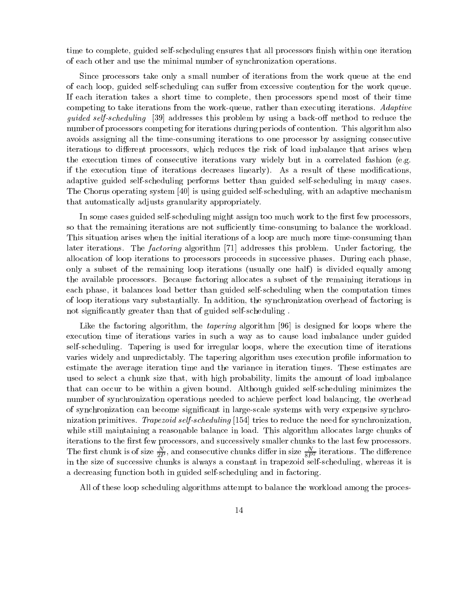time to complete, guided self-scheduling ensures that all processors finish within one iteration of each other and use the minimal number of synchronization operations.

Since processors take only a small number of iterations from the work queue at the end of each loop, guided self-scheduling can suffer from excessive contention for the work queue. If each iteration takes a short time to complete, then processors spend most of their time competing to take iterations from the work-queue, rather than executing iterations. Adaptive *guided self-scheduling* [39] addresses this problem by using a back-off method to reduce the number of processors competing for iterations during periods of contention. This algorithm also avoids assigning all the time-consuming iterations to one processor by assigning consecutive iterations to different processors, which reduces the risk of load imbalance that arises when the execution times of consecutive iterations vary widely but in a correlated fashion (e.g. if the execution time of iterations decreases linearly). As a result of these modications, adaptive guided self-scheduling performs better than guided self-scheduling in many cases. The Chorus operating system [40] is using guided self-scheduling, with an adaptive mechanism that automatically adjusts granularity appropriately.

In some cases guided self-scheduling might assign too much work to the first few processors, so that the remaining iterations are not sufficiently time-consuming to balance the workload. This situation arises when the initial iterations of a loop are much more time-consuming than later iterations. The factoring algorithm [71] addresses this problem. Under factoring, the allocation of loop iterations to processors proceeds in successive phases. During each phase, only a subset of the remaining loop iterations (usually one half) is divided equally among the available processors. Because factoring allocates a subset of the remaining iterations in each phase, it balances load better than guided self-scheduling when the computation times of loop iterations vary substantially. In addition, the synchronization overhead of factoring is not signicantly greater than that of guided self-scheduling .

Like the factoring algorithm, the *tapering* algorithm [96] is designed for loops where the execution time of iterations varies in such a way as to cause load imbalance under guided self-scheduling. Tapering is used for irregular loops, where the execution time of iterations varies widely and unpredictably. The tapering algorithm uses execution prole information to estimate the average iteration time and the variance in iteration times. These estimates are used to select a chunk size that, with high probability, limits the amount of load imbalance that can occur to be within a given bound. Although guided self-scheduling minimizes the number of synchronization operations needed to achieve perfect load balancing, the overhead of synchronization can become significant in large-scale systems with very expensive synchronization primitives. Trapezoid self-scheduling [154] tries to reduce the need for synchronization. while still maintaining a reasonable balance in load. This algorithm allocates large chunks of iterations to the first few processors, and successively smaller chunks to the last few processors. I he first chunk is of size  $\frac{2}{2P}$ , and consecutive chunks differ in size  $\frac{8P^2}{8P^2}$  iterations. The difference in the size of successive chunks is always a constant in trapezoid self-scheduling, whereas it is a decreasing function both in guided self-scheduling and in factoring.

All of these loop scheduling algorithms attempt to balance the workload among the proces-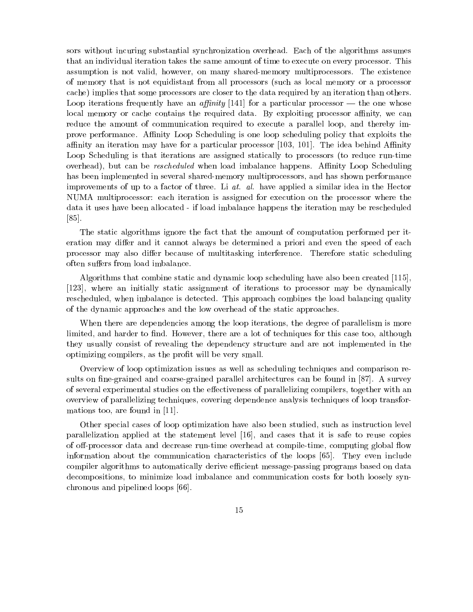sors without incuring substantial synchronization overhead. Each of the algorithms assumes that an individual iteration takes the same amount of time to execute on every processor. This assumption is not valid, however, on many shared-memory multiprocessors. The existence of memory that is not equidistant from all processors (such as local memory or a processor cache) implies that some processors are closer to the data required by an iteration than others. Loop iterations frequently have an *affinity* [141] for a particular processor — the one whose local memory or cache contains the required data. By exploiting processor affinity, we can reduce the amount of communication required to execute a parallel loop, and thereby improve performance. Affinity Loop Scheduling is one loop scheduling policy that exploits the affinity an iteration may have for a particular processor  $[103, 101]$ . The idea behind Affinity Loop Scheduling is that iterations are assigned statically to processors (to reduce run-time overhead), but can be *rescheduled* when load imbalance happens. Affinity Loop Scheduling has been implemented in several shared-memory multiprocessors, and has shown performance improvements of up to a factor of three. Li at. al. have applied a similar idea in the Hector NUMA multiprocessor: each iteration is assigned for execution on the processor where the data it uses have been allocated - if load imbalance happens the iteration may be rescheduled [85].

The static algorithms ignore the fact that the amount of computation performed per iteration may differ and it cannot always be determined a priori and even the speed of each processor may also differ because of multitasking interference. Therefore static scheduling often suffers from load imbalance.

Algorithms that combine static and dynamic loop scheduling have also been created [115], [123], where an initially static assignment of iterations to processor may be dynamically rescheduled, when imbalance is detected. This approach combines the load balancing quality of the dynamic approaches and the low overhead of the static approaches.

When there are dependencies among the loop iterations, the degree of parallelism is more limited, and harder to find. However, there are a lot of techniques for this case too, although they usually consist of revealing the dependency structure and are not implemented in the optimizing compilers, as the profit will be very small.

Overview of loop optimization issues as well as scheduling techniques and comparison results on fine-grained and coarse-grained parallel architectures can be found in  $[87]$ . A survey of several experimental studies on the effectiveness of parallelizing compilers, together with an overview of parallelizing techniques, covering dependence analysis techniques of loop transformations too, are found in [11].

Other special cases of loop optimization have also been studied, such asinstruction level parallelization applied at the statement level [16], and cases that it is safe to reuse copies of off-processor data and decrease run-time overhead at compile-time, computing global flow information about the communication characteristics of the loops [65]. They even include compiler algorithms to automatically derive efficient message-passing programs based on data decompositions, to minimize load imbalance and communication costs for both loosely synchronous and pipelined loops [66].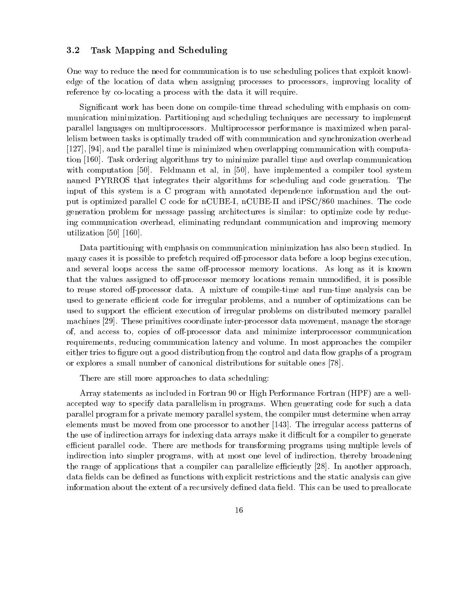### 3.2 Task Mapping and Scheduling

One way to reduce the need for communication is to use scheduling polices that exploit knowledge of the location of data when assigning processes to processors, improving locality of reference by co-locating a process with the data it will require.

Signicant work has been done on compile-time thread scheduling with emphasis on communication minimization. Partitioning and scheduling techniques are necessary to implement parallel languages on multiprocessors. Multiprocessor performance is maximized when parallelism between tasks is optimally traded off with communication and synchronization overhead [127], [94], and the parallel time is minimized when overlapping communication with computation [160]. Task ordering algorithms try to minimize parallel time and overlap communication with computation [50]. Feldmann et al, in [50], have implemented a compiler tool system named PYRROS that integrates their algorithms for scheduling and code generation. The input of this system is a C program with annotated dependence information and the output is optimized parallel C code for nCUBE-I, nCUBE-II and iPSC/860 machines. The code generation problem for message passing architectures is similar: to optimize code by reducing communication overhead, eliminating redundant communication and improving memory utilization [50] [160].

Data partitioning with emphasis on communication minimization has also been studied. In many cases it is possible to prefetch required off-processor data before a loop begins execution. and several loops access the same off-processor memory locations. As long as it is known that the values assigned to off-processor memory locations remain unmodified, it is possible to reuse stored off-processor data. A mixture of compile-time and run-time analysis can be used to generate efficient code for irregular problems, and a number of optimizations can be used to support the efficient execution of irregular problems on distributed memory parallel machines [29]. These primitives coordinate inter-processor data movement, manage the storage of, and access to, copies of off-processor data and minimize interprocessor communication requirements, reducing communication latency and volume. In most approaches the compiler either tries to figure out a good distribution from the control and data flow graphs of a program or explores a small number of canonical distributions for suitable ones [78].

There are still more approaches to data scheduling:

Array statements as included in Fortran 90 or High Performance Fortran (HPF) are a wellaccepted way to specify data parallelism in programs. When generating code for such a data parallel program for a private memory parallel system, the compiler must determine when array elements must be moved from one processor to another [143]. The irregular access patterns of the use of indirection arrays for indexing data arrays make it difficult for a compiler to generate efficient parallel code. There are methods for transforming programs using multiple levels of indirection into simpler programs, with at most one level of indirection, thereby broadening the range of applications that a compiler can parallelize efficiently [28]. In another approach, data fields can be defined as functions with explicit restrictions and the static analysis can give information about the extent of a recursively defined data field. This can be used to preallocate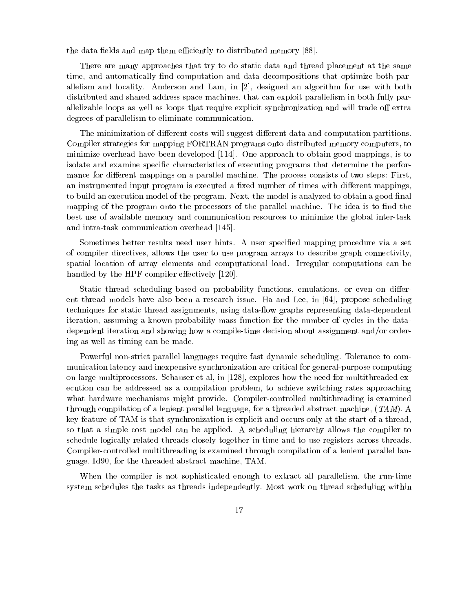the data fields and map them efficiently to distributed memory [88].

There are many approaches that try to do static data and thread placement at the same time, and automatically find computation and data decompositions that optimize both parallelism and locality. Anderson and Lam, in [2], designed an algorithm for use with both distributed and shared address space machines, that can exploit parallelism in both fully parallelizable loops as well as loops that require explicit synchronization and will trade off extra degrees of parallelism to eliminate communication.

The minimization of different costs will suggest different data and computation partitions. Compiler strategies for mapping FORTRAN programs onto distributed memory computers, to minimize overhead have been developed [114]. One approach to obtain good mappings, is to isolate and examine specic characteristics of executing programs that determine the performance for different mappings on a parallel machine. The process consists of two steps: First, an instrumented input program is executed a fixed number of times with different mappings, to build an execution model of the program. Next, the model is analyzed to obtain a good final mapping of the program onto the processors of the parallel machine. The idea is to find the best use of available memory and communication resources to minimize the global inter-task and intra-task communication overhead [145].

Sometimes better results need user hints. A user specified mapping procedure via a set of compiler directives, allows the user to use program arrays to describe graph connectivity, spatial location of array elements and computational load. Irregular computations can be handled by the HPF compiler effectively [120].

Static thread scheduling based on probability functions, emulations, or even on different thread models have also been a research issue. Ha and Lee, in [64], propose scheduling techniques for static thread assignments, using data-flow graphs representing data-dependent iteration, assuming a known probability mass function for the number of cycles in the datadependent iteration and showing how a compile-time decision about assignment and/or ordering as well as timing can be made.

Powerful non-strict parallel languages require fast dynamic scheduling. Tolerance to communication latency and inexpensive synchronization are critical for general-purpose computing on large multiprocessors. Schauser et al, in [128], explores how the need for multithreaded execution can be addressed as a compilation problem, to achieve switching rates approaching what hardware mechanisms might provide. Compiler-controlled multithreading is examined through compilation of a lenient parallel language, for a threaded abstract machine, (TAM). A key feature of TAM is that synchronization is explicit and occurs only at the start of a thread, so that a simple cost model can be applied. A scheduling hierarchy allows the compiler to schedule logically related threads closely together in time and to use registers across threads. Compiler-controlled multithreading is examined through compilation of a lenient parallel language, Id90, for the threaded abstract machine, TAM.

When the compiler is not sophisticated enough to extract all parallelism, the run-time system schedules the tasks as threads independently. Most work on thread scheduling within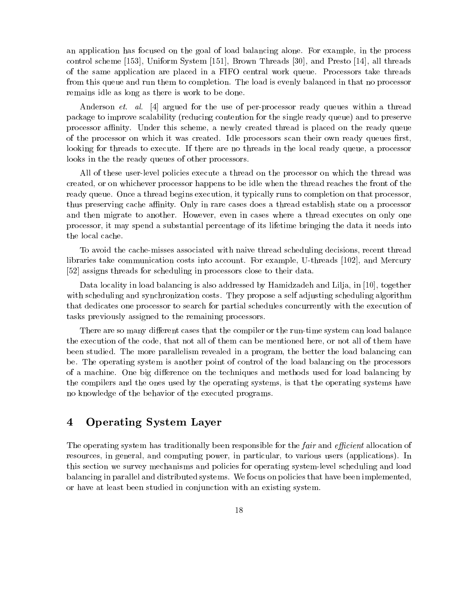an application has focused on the goal of load balancing alone. For example, in the process control scheme [153], Uniform System [151], Brown Threads [30], and Presto [14], all threads of the same application are placed in a FIFO central work queue. Processors take threads from this queue and run them to completion. The load is evenly balanced in that no processor remains idle as long as there is work to be done.

Anderson *et. al.* [4] argued for the use of per-processor ready queues within a thread package to improve scalability (reducing contention for the single ready queue) and to preserve processor affinity. Under this scheme, a newly created thread is placed on the ready queue of the processor on which it was created. Idle processors scan their own ready queues first, looking for threads to execute. If there are no threads in the local ready queue, a processor looks in the the ready queues of other processors.

All of these user-level policies execute a thread on the processor on which the thread was created, or on whichever processor happens to be idle when the thread reaches the front of the ready queue. Once a thread begins execution, it typically runs to completion on that processor, thus preserving cache affinity. Only in rare cases does a thread establish state on a processor and then migrate to another. However, even in cases where a thread executes on only one processor, it may spend a substantial percentage of its lifetime bringing the data it needs into the local cache.

To avoid the cache-misses associated with naive thread scheduling decisions, recent thread libraries take communication costs into account. For example, U-threads [102], and Mercury [52] assigns threads for scheduling in processors close to their data.

Data locality in load balancing is also addressed by Hamidzadeh and Lilja, in [10], together with scheduling and synchronization costs. They propose a self adjusting scheduling algorithm that dedicates one processor to search for partial schedules concurrently with the execution of tasks previously assigned to the remaining processors.

There are so many different cases that the compiler or the run-time system can load balance the execution of the code, that not all of them can be mentioned here, or not all of them have been studied. The more parallelism revealed in a program, the better the load balancing can be. The operating system is another point of control of the load balancing on the processors of a machine. One big difference on the techniques and methods used for load balancing by the compilers and the ones used by the operating systems, is that the operating systems have no knowledge of the behavior of the executed programs.

### 4 Operating System Layer 4

The operating system has traditionally been responsible for the *fair* and *efficient* allocation of resources, in general, and computing power, in particular, to various users (applications). In this section we survey mechanisms and policies for operating system-level scheduling and load balancing in parallel and distributed systems. We focus on policies that have been implemented, or have at least been studied in conjunction with an existing system.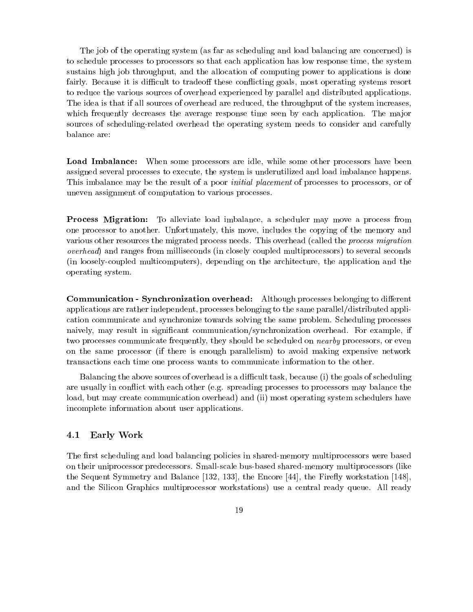The job of the operating system (as far as scheduling and load balancing are concerned) is to schedule processes to processors so that each application has low response time, the system sustains high job throughput, and the allocation of computing power to applications is done fairly. Because it is difficult to tradeoff these conflicting goals, most operating systems resort to reduce the various sources of overhead experienced by parallel and distributed applications. The idea is that if all sources of overhead are reduced, the throughput of the system increases, which frequently decreases the average response time seen by each application. The major sources of scheduling-related overhead the operating system needs to consider and carefully balance are:

Load Imbalance: When some processors are idle, while some other processors have been assigned several processes to execute, the system is underutilized and load imbalance happens. This imbalance may be the result of a poor *initial placement* of processes to processors, or of uneven assignment of computation to various processes.

Process Migration: To alleviate load imbalance, a scheduler may move a process from one processor to another. Unfortunately, this move, includes the copying of the memory and various other resources the migrated process needs. This overhead (called the process migration overhead) and ranges from milliseconds (in closely coupled multiprocessors) to several seconds (in loosely-coupled multicomputers), depending on the architecture, the application and the operating system.

Communication - Synchronization overhead: Although processes belonging to dierent applications are rather independent, processes belonging to the same parallel/distributed application communicate and synchronize towards solving the same problem. Scheduling processes naively, may result in significant communication/synchronization overhead. For example, if two processes communicate frequently, they should be scheduled on nearby processors, or even on the same processor (if there is enough parallelism) to avoid making expensive network transactions each time one process wants to communicate information to the other.

Balancing the above sources of overhead is a difficult task, because (i) the goals of scheduling are usually in conflict with each other (e.g. spreading processes to processors may balance the load, but may create communication overhead) and (ii) most operating system schedulers have incomplete information about user applications.

### 4.1 Early Work

The first scheduling and load balancing policies in shared-memory multiprocessors were based on their uniprocessor predecessors. Small-scale bus-based shared-memory multiprocessors (like the Sequent Symmetry and Balance  $[132, 133]$ , the Encore  $[44]$ , the Firefly workstation  $[148]$ . and the Silicon Graphics multiprocessor workstations) use a central ready queue. All ready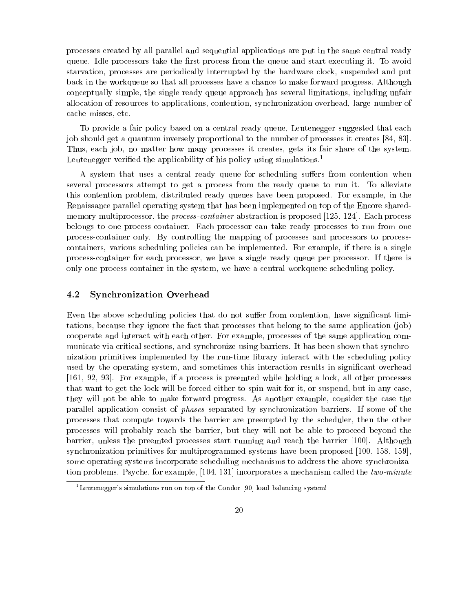processes created by all parallel and sequential applications are put in the same central ready queue. Idle processors take the first process from the queue and start executing it. To avoid starvation, processes are periodically interrupted by the hardware clock, suspended and put back in the workqueue so that all processes have a chance to make forward progress. Although conceptually simple, the single ready queue approach has several limitations, including unfair allocation of resources to applications, contention, synchronization overhead, large number of cache misses, etc.

To provide a fair policy based on a central ready queue, Leutenegger suggested that each job should get a quantum inversely proportional to the number of processes it creates [84, 83]. Thus, each job, no matter how many processes it creates, gets its fair share of the system. Leutenegger verified the applicability of his policy using simulations.<sup>1</sup>

A system that uses a central ready queue for scheduling suffers from contention when several processors attempt to get a process from the ready queue to run it. To alleviate this contention problem, distributed ready queues have been proposed. For example, in the Renaissance parallel operating system that has been implemented on top of the Encore sharedmemory multiprocessor, the *process-container* abstraction is proposed [125, 124]. Each process belongs to one process-container. Each processor can take ready processes to run from one process-container only. By controlling the mapping of processes and processors to processcontainers, various scheduling policies can be implemented. For example, if there is a single process-container for each processor, we have a single ready queue per processor. If there is only one process-container in the system, we have a central-workqueue scheduling policy.

### 4.2 Synchronization Overhead

Even the above scheduling policies that do not suffer from contention, have significant limitations, because they ignore the fact that processes that belong to the same application (job) cooperate and interact with each other. For example, processes of the same application communicate via critical sections, and synchronize using barriers. It has been shown that synchronization primitives implemented by the run-time library interact with the scheduling policy used by the operating system, and sometimes this interaction results in signicant overhead [161, 92, 93]. For example, if a process is preemted while holding a lock, all other processes that want to get the lock will be forced either to spin-wait for it, or suspend, but in any case, they will not be able to make forward progress. As another example, consider the case the parallel application consist of phases separated by synchronization barriers. If some of the processes that compute towards the barrier are preempted by the scheduler, then the other processes will probably reach the barrier, but they will not be able to proceed beyond the barrier, unless the preemted processes start running and reach the barrier [100]. Although synchronization primitives for multiprogrammed systems have been proposed [100, 158, 159], some operating systems incorporate scheduling mechanisms to address the above synchronization problems. Psyche, for example, [104, 131] incorporates a mechanism called the two-minute

<sup>&</sup>lt;sup>1</sup>Leutenegger's simulations run on top of the Condor [90] load balancing system!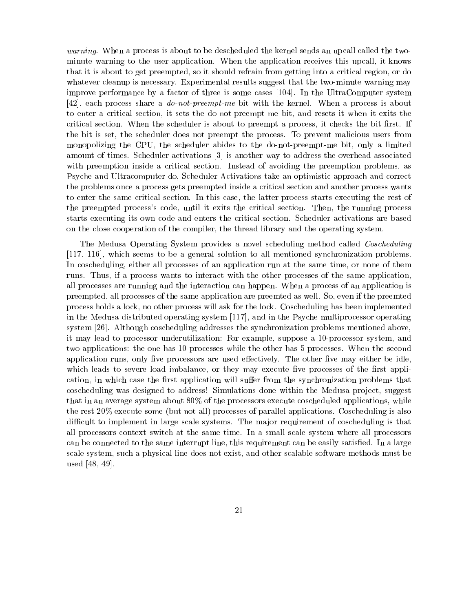warning. When a process is about to be descheduled the kernel sends an upcall called the twominute warning to the user application. When the application receives this upcall, it knows that it is about to get preempted, so it should refrain from getting into a critical region, or do whatever cleanup is necessary. Experimental results suggest that the two-minute warning may improve performance by a factor of three is some cases [104]. In the UltraComputer system [42], each process share a do-not-preempt-me bit with the kernel. When a process is about to enter a critical section, it sets the do-not-preempt-me bit, and resets it when it exits the critical section. When the scheduler is about to preempt a process, it checks the bit first. If the bit is set, the scheduler does not preempt the process. To prevent malicious users from monopolizing the CPU, the scheduler abides to the do-not-preempt-me bit, only a limited amount of times. Scheduler activations [3] is another way to address the overhead associated with preemption inside a critical section. Instead of avoiding the preemption problems, as Psyche and Ultracomputer do, Scheduler Activations take an optimistic approach and correct the problems once a process gets preempted inside a critical section and another process wants to enter the same critical section. In this case, the latter process starts executing the rest of the preempted process's code, until it exits the critical section. Then, the running process starts executing its own code and enters the critical section. Scheduler activations are based on the close cooperation of the compiler, the thread library and the operating system.

The Medusa Operating System provides a novel scheduling method called Coscheduling [117, 116], which seems to be a general solution to all mentioned synchronization problems. In coscheduling, either all processes of an application run at the same time, or none of them runs. Thus, if a process wants to interact with the other processes of the same application, all processes are running and the interaction can happen. When a process of an application is preempted, all processes of the same application are preemted as well. So, even if the preemted process holds a lock, no other process will ask for the lock. Coscheduling has been implemented in the Medusa distributed operating system [117], and in the Psyche multiprocessor operating system [26]. Although coscheduling addresses the synchronization problems mentioned above, it may lead to processor underutilization: For example, suppose a 10-processor system, and two applications: the one has 10 processes while the other has 5 processes. When the second application runs, only five processors are used effectively. The other five may either be idle, which leads to severe load imbalance, or they may execute five processes of the first application, in which case the first application will suffer from the synchronization problems that coscheduling was designed to address! Simulations done within the Medusa project, suggest that in an average system about 80% of the processors execute coscheduled applications, while the rest 20% execute some (but not all) processes of parallel applications. Coscheduling is also difficult to implement in large scale systems. The major requirement of coscheduling is that all processors context switch atthe same time. In a small scale system where all processors can be connected to the same interrupt line, this requirement can be easily satisfied. In a large scale system, such a physical line does not exist, and other scalable software methods must be used [48, 49].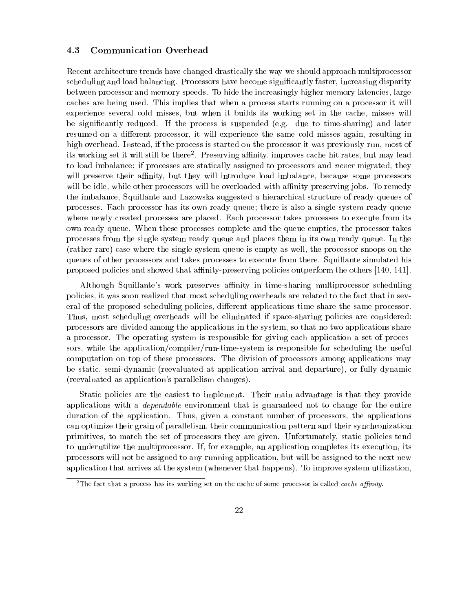### 4.3 **Communication Overhead**

Recent architecture trends have changed drastically the way we should approach multiprocessor scheduling and load balancing. Processors have become signicantly faster, increasing disparity between processor and memory speeds. To hide the increasingly higher memory latencies, large caches are being used. This implies that when a process starts running on a processor it will experience several cold misses, but when it builds its working set in the cache, misses will be signicantly reduced. If the process is suspended (e.g. due to time-sharing) and later resumed on a different processor, it will experience the same cold misses again, resulting in high overhead. Instead, if the process is started on the processor it was previously run, most of rts working set it will still be there . Freserving animity, improves cache hit rates, but may lead to load imbalance: if processes are statically assigned to processors and never migrated, they will preserve their affinity, but they will introduce load imbalance, because some processors will be idle, while other processors will be overloaded with affinity-preserving jobs. To remedy the imbalance, Squillante and Lazowska suggested a hierarchical structure of ready queues of processes. Each processor has its own ready queue; there is also a single system ready queue where newly created processes are placed. Each processor takes processes to execute from its own ready queue. When these processes complete and the queue empties, the processor takes processes from the single system ready queue and places them in its own ready queue. In the (rather rare) case where the single system queue is empty as well, the processor snoops on the queues of other processors and takes processes to execute from there. Squillante simulated his proposed policies and showed that anity-preserving policies outperform the others [140, 141].

Although Squillante's work preserves affinity in time-sharing multiprocessor scheduling policies, it was soon realized that most scheduling overheads are related to the fact that in several of the proposed scheduling policies, different applications time-share the same processor. Thus, most scheduling overheads will be eliminated if space-sharing policies are considered: processors are divided among the applications in the system, so that no two applications share a processor. The operating system is responsible for giving each application a set of processors, while the application/compiler/run-time-system is responsible for scheduling the useful computation on top of these processors. The division of processors among applications may be static, semi-dynamic (reevaluated atapplication arrival and departure), or fully dynamic (reevaluated as application's parallelism changes).

Static policies are the easiest to implement. Their main advantage is that they provide applications with a dependable environment that is guaranteed not to change for the entire duration of the application. Thus, given a constant number of processors, the applications can optimize their grain of parallelism, their communication pattern and their synchronization primitives, to match the set of processors they are given. Unfortunately, static policies tend to underutilize the multiprocessor. If, for example, an application completes its execution, its processors will not be assigned to any running application, but will be assigned to the next new application that arrives at the system (whenever that happens). To improve system utilization,

The fact that a process has its working set on the cache of some processor is called *cache affinity*.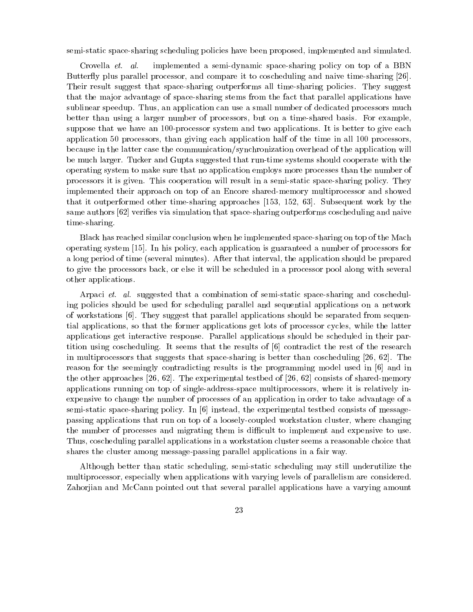semi-static space-sharing scheduling policies have been proposed, implemented and simulated.

Crovella et. al. implemented a semi-dynamic space-sharing policy on top of a BBN Butterfly plus parallel processor, and compare it to coscheduling and naive time-sharing [26]. Their result suggest that space-sharing outperforms all time-sharing policies. They suggest that the ma jor advantage of space-sharing stems from the fact that parallel applications have sublinear speedup. Thus, an application can use a small number of dedicated processors much better than using a larger number of processors, but on a time-shared basis. For example, suppose that we have an 100-processor system and two applications. It is better to give each application 50 processors, than giving each application half of the time in all 100 processors, because in the latter case the communication/synchronization overhead of the application will be much larger. Tucker and Gupta suggested that run-time systems should cooperate with the operating system to make sure that no application employs more processes than the number of processors it is given. This cooperation will result in a semi-static space-sharing policy. They implemented their approach on top of an Encore shared-memory multiprocessor and showed that it outperformed other time-sharing approaches [153, 152, 63]. Subsequent work by the same authors [62] verifies via simulation that space-sharing outperforms coscheduling and naive time-sharing.

Black has reached similar conclusion when he implemented space-sharing on top of the Mach operating system [15]. In his policy, each application is guaranteed a number of processors for a long period of time (several minutes). After that interval, the application should be prepared to give the processors back, or else it will be scheduled in a processor pool along with several other applications.

Arpaci et. al. suggested that a combination of semi-static space-sharing and coscheduling policies should be used for scheduling parallel and sequential applications on a network of workstations [6]. They suggest that parallel applications should be separated from sequential applications, so that the former applications get lots of processor cycles, while the latter applications get interactive response. Parallel applications should be scheduled in their partition using coscheduling. It seems that the results of [6] contradict the rest of the research in multiprocessors that suggests that space-sharing is better than coscheduling [26, 62]. The reason for the seemingly contradicting results is the programming model used in [6] and in the other approaches [26, 62]. The experimental testbed of [26, 62] consists of shared-memory applications running on top of single-address-space multiprocessors, where it is relatively inexpensive to change the number of processes of an application in order to take advantage of a semi-static space-sharing policy. In [6] instead, the experimental testbed consists of messagepassing applications that run on top of a loosely-coupled workstation cluster, where changing the number of processes and migrating them is difficult to implement and expensive to use. Thus, coscheduling parallel applications in a workstation cluster seems a reasonable choice that shares the cluster among message-passing parallel applications in a fair way.

Although better than static scheduling, semi-static scheduling may still underutilize the multiprocessor, especially when applications with varying levels of parallelism are considered. Zahorjian and McCann pointed out that several parallel applications have a varying amount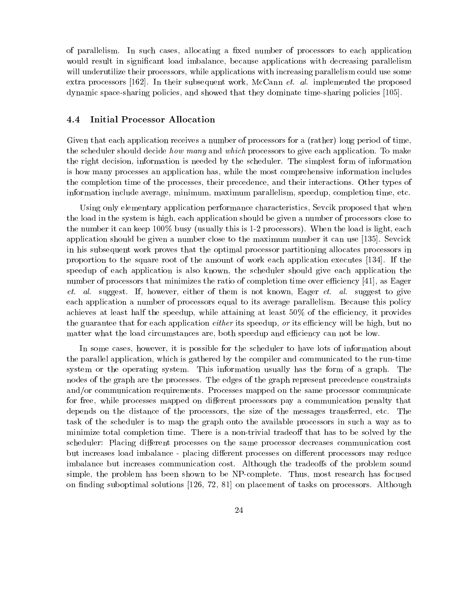of parallelism. In such cases, allocating a fixed number of processors to each application would result in significant load imbalance, because applications with decreasing parallelism will underutilize their processors, while applications with increasing parallelism could use some extra processors [162]. In their subsequent work, McCann et. al. implemented the proposed dynamic space-sharing policies, and showed that they dominate time-sharing policies [105].

### 4.4 Initial Processor Allocation

Given that each application receives a number of processors for a (rather) long period of time, the scheduler should decide *how many* and *which* processors to give each application. To make the right decision, information is needed by the scheduler. The simplest form of information is how many processes an application has, while the most comprehensive information includes the completion time of the processes, their precedence, and their interactions. Other types of information include average, minimum, maximum parallelism, speedup, completion time, etc.

Using only elementary application performance characteristics, Sevcik proposed that when the load in the system is high, each application should be given a number of processors close to the number it can keep 100% busy (usually this is 1-2 processors). When the load is light, each application should be given a number close to the maximum number it can use [135]. Sevcick in his subsequent work proves that the optimal processor partitioning allocates processors in proportion to the square root of the amount of work each application executes [134]. If the speedup of each application is also known, the scheduler should give each application the number of processors that minimizes the ratio of completion time over efficiency  $[41]$ , as Eager et. al. suggest. If, however, either of them is not known, Eager et. al. suggest to give each application a number of processors equal to its average parallelism. Because this policy achieves at least half the speedup, while attaining at least  $50\%$  of the efficiency, it provides the guarantee that for each application *either* its speedup, or its efficiency will be high, but no matter what the load circumstances are, both speedup and efficiency can not be low.

In some cases, however, it is possible for the scheduler to have lots of information about the parallel application, which is gathered by the compiler and communicated to the run-time system or the operating system. This information usually has the form of a graph. The nodes of the graph are the processes. The edges of the graph represent precedence constraints and/or communication requirements. Processes mapped on the same processor communicate for free, while processes mapped on different processors pay a communication penalty that depends on the distance of the processors, the size of the messages transferred, etc. The task of the scheduler is to map the graph onto the available processors in such a way as to minimize total completion time. There is a non-trivial tradeoff that has to be solved by the scheduler: Placing different processes on the same processor decreases communication cost but increases load imbalance - placing different processes on different processors may reduce imbalance but increases communication cost. Although the tradeoffs of the problem sound simple, the problem has been shown to be NP-complete. Thus, most research has focused on finding suboptimal solutions  $[126, 72, 81]$  on placement of tasks on processors. Although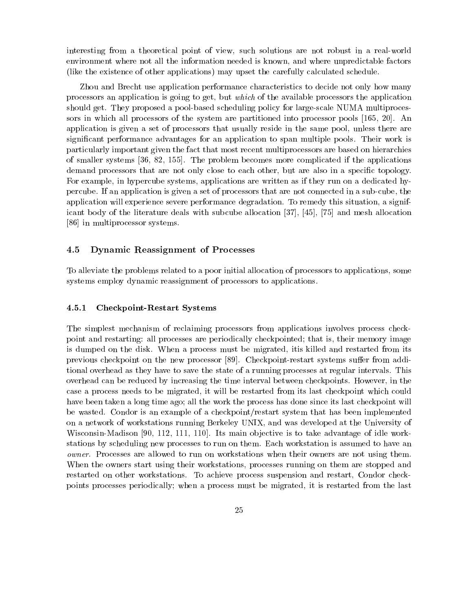interesting from a theoretical point of view, such solutions are not robust in a real-world environment where not all the information needed is known, and where unpredictable factors (like the existence of other applications) may upset the carefully calculated schedule.

Zhou and Brecht use application performance characteristics to decide not only how many processors an application is going to get, but which of the available processors the application should get. They proposed a pool-based scheduling policy for large-scale NUMA multiprocessors in which all processors of the system are partitioned into processor pools [165, 20]. An application is given a set of processors that usually reside in the same pool, unless there are signicant performance advantages for an application to span multiple pools. Their work is particularly important given the fact that most recent multiprocessors are based on hierarchies of smaller systems [36, 82, 155]. The problem becomes more complicated if the applications demand processors that are not only close to each other, but are also in a specific topology. For example, in hypercube systems, applications are written as if they run on a dedicated hypercube. If an application is given a set of processors that are not connected in a sub-cube, the application will experience severe performance degradation. To remedy this situation, a significant body of the literature deals with subcube allocation [37], [45], [75] and mesh allocation [86] in multiprocessor systems.

### 4.5 Dynamic Reassignment of Processes

To alleviate the problems related to a poor initial allocation of processors to applications, some systems employ dynamic reassignment of processors to applications.

#### 4.5.1Checkpoint-Restart Systems

The simplest mechanism of reclaiming processors from applications involves process checkpoint and restarting: all processes are periodically checkpointed; that is, their memory image is dumped on the disk. When a process must be migrated, itis killed and restarted from its previous checkpoint on the new processor [89]. Checkpoint-restart systems suffer from additional overhead as they have to save the state of a running processes at regular intervals. This overhead can be reduced by increasing the time interval between checkpoints. However, in the case a process needs to be migrated, it will be restarted from its last checkpoint which could have been taken a long time ago; all the work the process has done since its last checkpoint will be wasted. Condor is an example of a checkpoint/restart system that has been implemented on a network of workstations running Berkeley UNIX, and was developed at the University of Wisconsin-Madison [90, 112, 111, 110]. Its main objective is to take advantage of idle workstations by scheduling new processes to run on them. Each workstation is assumed to have an owner. Processes are allowed to run on workstations when their owners are not using them. When the owners start using their workstations, processes running on them are stopped and restarted on other workstations. To achieve process suspension and restart, Condor checkpoints processes periodically; when a process must be migrated, it is restarted from the last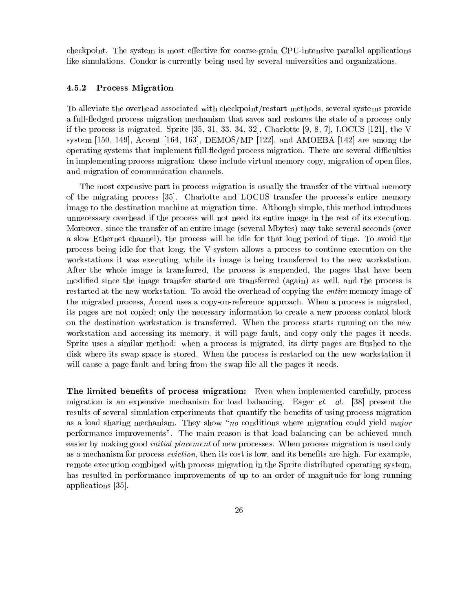checkpoint. The system is most effective for coarse-grain CPU-intensive parallel applications like simulations. Condor is currently being used by several universities and organizations.

### 4.5.2Process Migration

To alleviate the overhead associated with checkpoint/restart methods, several systems provide a fulledged process migration mechanism that saves and restores the state of a process only if the process is migrated. Sprite [35, 31, 33, 34, 32], Charlotte [9, 8, 7], LOCUS [121], the V system [150, 149], Accent [164, 163], DEMOS/MP [122], and AMOEBA [142] are among the operating systems that implement full-fledged process migration. There are several difficulties in implementing process migration: these include virtual memory copy, migration of open files, and migration of communication channels.

The most expensive part in process migration is usually the transfer of the virtual memory of the migrating process [35]. Charlotte and LOCUS transfer the process's entire memory image to the destination machine at migration time. Although simple, this method introduces unnecessary overhead if the process will not need its entire image in the rest of its execution. Moreover, since the transfer of an entire image (several Mbytes) may take several seconds (over a slow Ethernet channel), the process will be idle for that long period of time. To avoid the process being idle for that long, the V-system allows a process to continue execution on the workstations it was executing, while its image is being transferred to the new workstation. After the whole image is transferred, the process is suspended, the pages that have been modied since the image transfer started are transferred (again) as well, and the process is restarted at the new workstation. To avoid the overhead of copying the entire memory image of the migrated process, Accent uses a copy-on-reference approach. When a process is migrated, its pages are not copied; only the necessary information to create a new process control block on the destination workstation is transferred. When the process starts running on the new workstation and accessing its memory, it will page fault, and copy only the pages it needs. Sprite uses a similar method: when a process is migrated, its dirty pages are flushed to the disk where its swap space is stored. When the process is restarted on the new workstation it will cause a page-fault and bring from the swap file all the pages it needs.

 $\blacksquare$  is also be denote the process migration:  $\blacksquare$  . The when implemented carefully, process migration is an expensive mechanism for load balancing. Eager *et. al.* [38] present the results of several simulation experiments that quantify the benefits of using process migration as a load sharing mechanism. They show "no conditions where migration could yield major performance improvements". The main reason is that load balancing can be achieved much easier by making good *initial placement* of new processes. When process migration is used only as a mechanism for process *eviction*, then its cost is low, and its benefits are high. For example, remote execution combined with process migration in the Sprite distributed operating system, has resulted in performance improvements of up to an order of magnitude for long running applications [35].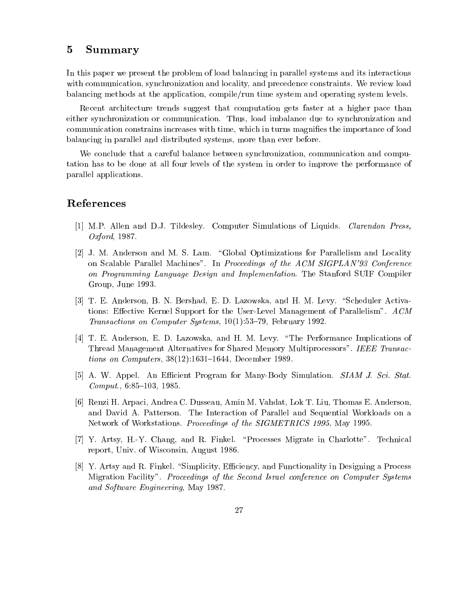### 5 Summary

In this paper we present the problem of load balancing in parallel systems and its interactions with communication, synchronization and locality, and precedence constraints. We review load balancing methods at the application, compile/run time system and operating system levels.

Recent architecture trends suggest that computation gets faster at a higher pace than either synchronization or communication. Thus, load imbalance due to synchronization and communication constrains increases with time, which in turns magnies the importance of load balancing in parallel and distributed systems, more than ever before.

We conclude that a careful balance between synchronization, communication and computation has to be done at all four levels of the system in order to improve the performance of parallel applications.

# References

- [1] M.P. Allen and D.J. Tildesley. Computer Simulations of Liquids. Clarendon Press, Oxford, 1987.
- [2] J. M. Anderson and M. S. Lam. "Global Optimizations for Parallelism and Locality on Scalable Parallel Machines". In Proceedings of the ACM SIGPLAN'93 Conference on Programming Language Design and Implementation. The Stanford SUIF Compiler Group, June 1993.
- [3] T. E. Anderson, B. N. Bershad, E. D. Lazowska, and H. M. Levy. "Scheduler Activations: Effective Kernel Support for the User-Level Management of Parallelism".  $ACM$ Transactions on Computer Systems,  $10(1):53-79$ , February 1992.
- [4] T. E. Anderson, E. D. Lazowska, and H. M. Levy. \The Performance Implications of Thread Management Alternatives for Shared Memory Multiprocessors". IEEE Transactions on Computers,  $38(12):1631-1644$ , December 1989.
- [5] A. W. Appel. An Efficient Program for Many-Body Simulation. SIAM J. Sci. Stat.  $Comput., 6:85-103, 1985.$
- [6] Renzi H. Arpaci, Andrea C. Dusseau, Amin M. Vahdat, Lok T. Liu, Thomas E. Anderson, and David A. Patterson. The Interaction of Parallel and Sequential Workloads on a Network of Workstations. Proceedings of the SIGMETRICS 1995, May 1995.
- [7] Y. Artsy, H.-Y. Chang, and R. Finkel. \Processes Migrate in Charlotte". Technical report, Univ. of Wisconsin, August 1986.
- [8] Y. Artsy and R. Finkel. "Simplicity, Efficiency, and Functionality in Designing a Process Migration Facility". Proceedings of the Second Israel conference on Computer Systems and Software Engineering, May 1987.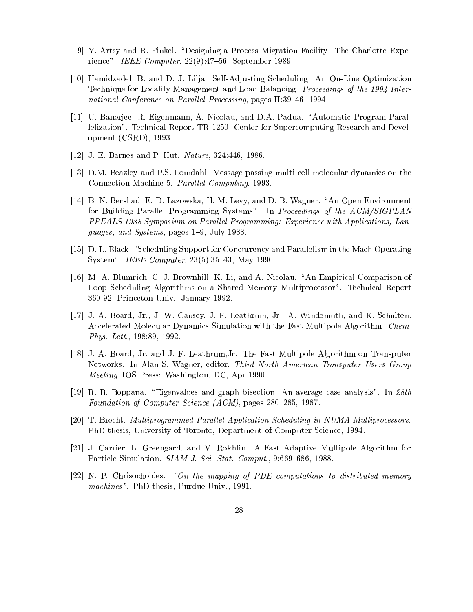- [9] Y. Artsy and R. Finkel. \Designing a Process Migration Facility: The Charlotte Experience". IEEE Computer,  $22(9):47-56$ , September 1989.
- [10] Hamidzadeh B. and D. J. Lilja. Self-Adjusting Scheduling: An On-Line Optimization Technique for Locality Management and Load Balancing. Proceedings of the 1994 International Conference on Parallel Processing, pages II:39-46, 1994.
- [11] U. Banerjee, R. Eigenmann, A. Nicolau, and D.A. Padua. "Automatic Program Parallelization". Technical Report TR-1250, Center for Supercomputing Research and Development (CSRD), 1993.
- [12] J. E. Barnes and P. Hut. Nature, 324:446, 1986.
- [13] D.M. Beazley and P.S. Lomdahl. Message passing multi-cell molecular dynamics on the Connection Machine 5. Parallel Computing, 1993.
- [14] B. N. Bershad, E. D. Lazowska, H. M. Levy, and D. B. Wagner. "An Open Environment" for Building Parallel Programming Systems". In Proceedings of the ACM/SIGPLAN PPEALS 1988 Symposium on Parallel Programming: Experience with Applications, Lanquages, and Systems, pages  $1-9$ , July 1988.
- [15] D. L. Black. "Scheduling Support for Concurrency and Parallelism in the Mach Operating System". *IEEE Computer*, 23(5):35-43, May 1990.
- [16] M. A. Blumrich, C. J. Brownhill, K. Li, and A. Nicolau. "An Empirical Comparison of Loop Scheduling Algorithms on a Shared Memory Multiprocessor". Technical Report 360-92, Princeton Univ., January 1992.
- [17] J. A. Board, Jr., J. W. Causey, J. F. Leathrum, Jr., A. Windemuth, and K. Schulten. Accelerated Molecular Dynamics Simulation with the Fast Multipole Algorithm. Chem. Phys. Lett., 198:89, 1992.
- [18] J. A. Board, Jr. and J. F. Leathrum,Jr. The Fast Multipole Algorithm on Transputer Networks. In Alan S. Wagner, editor, Third North American Transputer Users Group Meeting. IOS Press: Washington, DC, Apr 1990.
- [19] R. B. Boppana. "Eigenvalues and graph bisection: An average case analysis". In 28th Foundation of Computer Science  $(ACM)$ , pages 280–285, 1987.
- [20] T. Brecht. Multiprogrammed Parallel Application Scheduling in NUMA Multiprocessors. PhD thesis, University of Toronto, Department of Computer Science, 1994.
- [21] J. Carrier, L. Greengard, and V. Rokhlin. A Fast Adaptive Multipole Algorithm for Particle Simulation. SIAM J. Sci. Stat. Comput., 9:669-686, 1988.
- [22] N. P. Chrisochoides.  $\degree$ On the mapping of PDE computations to distributed memory machines". PhD thesis, Purdue Univ., 1991.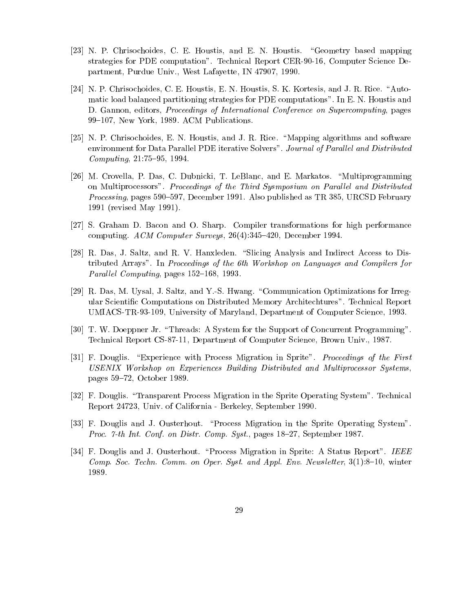- [23] N. P. Chrisochoides, C. E. Houstis, and E. N. Houstis. "Geometry based mapping strategies for PDE computation". Technical Report CER-90-16, Computer Science Department, Purdue Univ., West Lafayette, IN 47907, 1990.
- [24] N. P. Chrisochoides, C. E. Houstis, E. N. Houstis, S. K. Kortesis, and J. R. Rice. "Automatic load balanced partitioning strategies for PDE computations". In E. N. Houstis and D. Gannon, editors, Proceedings of International Conference on Supercomputing, pages 99-107, New York, 1989. ACM Publications.
- [25] N. P. Chrisochoides, E. N. Houstis, and J. R. Rice. "Mapping algorithms and software environment for Data Parallel PDE iterative Solvers". Journal of Parallel and Distributed  $Computing, 21:75–95, 1994.$
- [26] M. Crovella, P. Das, C. Dubnicki, T. LeBlanc, and E. Markatos. "Multiprogramming" on Multiprocessors". Proceedings of the Third Sysmposium on Parallel and Distributed *Processing*, pages 590–597, December 1991. Also published as TR 385, URCSD February 1991 (revised May 1991).
- [27] S. Graham D. Bacon and O. Sharp. Compiler transformations for high performance computing. ACM Computer Surveys,  $26(4):345-420$ , December 1994.
- [28] R. Das, J. Saltz, and R. V. Hanxleden. "Slicing Analysis and Indirect Access to Distributed Arrays". In Proceedings of the 6th Workshop on Languages and Compilers for *Parallel Computing*, pages  $152–168$ , 1993.
- [29] R. Das, M. Uysal, J. Saltz, and Y.-S. Hwang. \Communication Optimizations for Irregular Scientic Computations on Distributed Memory Architechtures". Technical Report UMIACS-TR-93-109, University of Maryland, Department of Computer Science, 1993.
- [30] T. W. Doeppner Jr. "Threads: A System for the Support of Concurrent Programming". Technical Report CS-87-11, Department of Computer Science, Brown Univ., 1987.
- [31] F. Douglis. "Experience with Process Migration in Sprite". Proceedings of the First USENIX Workshop on Experiences Building Distributed and Multiprocessor Systems, pages 59-72, October 1989.
- [32] F. Douglis. "Transparent Process Migration in the Sprite Operating System". Technical Report 24723, Univ. of California - Berkeley, September 1990.
- [33] F. Douglis and J. Ousterhout. \Process Migration in the Sprite Operating System". *Proc.* 7-th Int. Conf. on Distr. Comp. Syst., pages  $18{\text -}27$ , September 1987.
- [34] F. Douglis and J. Ousterhout. "Process Migration in Sprite: A Status Report". IEEE Comp. Soc. Techn. Comm. on Oper. Syst. and Appl. Env. Newsletter,  $3(1):8-10$ , winter 1989.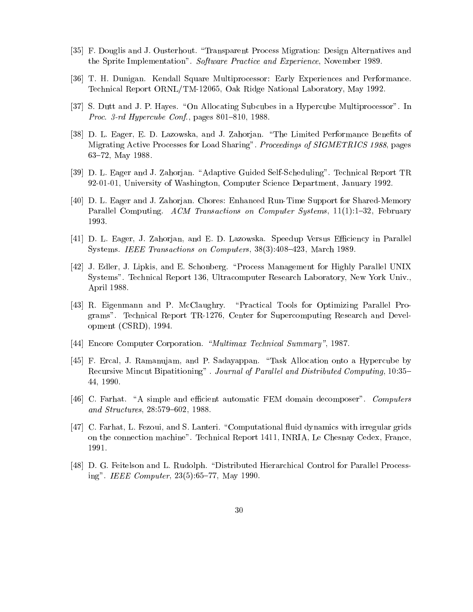- [35] F. Douglis and J. Ousterhout. \Transparent Process Migration: Design Alternatives and the Sprite Implementation". Software Practice and Experience, November 1989.
- [36] T. H. Dunigan. Kendall Square Multiprocessor: Early Experiences and Performance. Technical Report ORNL/TM-12065, Oak Ridge National Laboratory, May 1992.
- [37] S. Dutt and J. P. Hayes. "On Allocating Subcubes in a Hypercube Multiprocessor". In Proc. 3-rd Hypercube Conf., pages 801-810, 1988.
- [38] D. L. Eager, E. D. Lazowska, and J. Zahorjan. "The Limited Performance Benefits of Migrating Active Processes for Load Sharing". Proceedings of SIGMETRICS 1988, pages 63–72, May 1988.
- [39] D. L. Eager and J. Zahorjan. "Adaptive Guided Self-Scheduling". Technical Report TR 92-01-01, University of Washington, Computer Science Department, January 1992.
- [40] D. L. Eager and J. Zahorjan. Chores: Enhanced Run-Time Support for Shared-Memory Parallel Computing. ACM Transactions on Computer Systems, 11(1):1-32, February 1993.
- [41] D. L. Eager, J. Zahorjan, and E. D. Lazowska. Speedup Versus Efficiency in Parallel Systems. IEEE Transactions on Computers,  $38(3):408-423$ , March 1989.
- [42] J. Edler, J. Lipkis, and E. Schonberg. \Process Management for Highly Parallel UNIX Systems". Technical Report 136, Ultracomputer Research Laboratory, New York Univ., April 1988.
- [43] R. Eigenmann and P. McClaughry. \Practical Tools for Optimizing Parallel Programs". Technical Report TR-1276, Center for Supercomputing Research and Development (CSRD), 1994.
- [44] Encore Computer Corporation. "Multimax Technical Summary", 1987.
- [45] F. Ercal, J. Ramanujam, and P. Sadayappan. "Task Allocation onto a Hypercube by Recursive Mincut Bipatitioning" . Journal of Parallel and Distributed Computing, 10:35-44, 1990.
- [46] C. Farhat. "A simple and efficient automatic FEM domain decomposer". Computers and Structures,  $28:579{-}602$ , 1988.
- [47] C. Farhat, L. Fezoui, and S. Lanteri. "Computational fluid dynamics with irregular grids on the connection machine". Technical Report 1411, INRIA, Le Chesnay Cedex, France, 1991.
- [48] D. G. Feitelson and L. Rudolph. "Distributed Hierarchical Control for Parallel Processing". IEEE Computer,  $23(5):65-77$ , May 1990.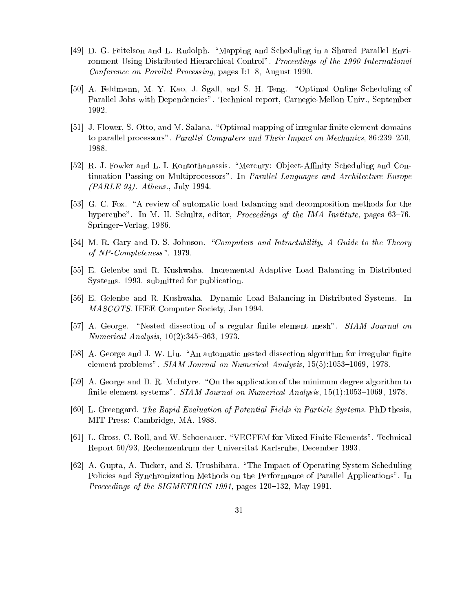- [49] D. G. Feitelson and L. Rudolph. "Mapping and Scheduling in a Shared Parallel Environment Using Distributed Hierarchical Control". Proceedings of the 1990 International Conference on Parallel Processing, pages I:1-8, August 1990.
- [50] A. Feldmann, M. Y. Kao, J. Sgall, and S. H. Teng. "Optimal Online Scheduling of Parallel Jobs with Dependencies". Technical report, Carnegie-Mellon Univ., September 1992.
- [51] J. Flower, S. Otto, and M. Salana. "Optimal mapping of irregular finite element domains to parallel processors". Parallel Computers and Their Impact on Mechanics,  $86:239-250$ , 1988.
- [52] R. J. Fowler and L. I. Kontothanassis. "Mercury: Object-Affinity Scheduling and Continuation Passing on Multiprocessors". In Parallel Languages and Architecture Europe (PARLE 94). Athens., July 1994.
- [53] G. C. Fox. "A review of automatic load balancing and decomposition methods for the hypercube". In M. H. Schultz, editor, *Proceedings of the IMA Institute*, pages  $63-76$ . Springer-Verlag, 1986.
- [54] M. R. Gary and D. S. Johnson.  $\degree$ Computers and Intractability, A Guide to the Theory of NP-Completeness". 1979.
- [55] E. Gelenbe and R. Kushwaha. Incremental Adaptive Load Balancing in Distributed Systems. 1993. submitted for publication.
- [56] E. Gelenbe and R. Kushwaha. Dynamic Load Balancing in Distributed Systems. In MASCOTS. IEEE Computer Society, Jan 1994.
- [57] A. George. "Nested dissection of a regular finite element mesh". SIAM Journal on Numerical Analysis,  $10(2):345{-}363$ , 1973.
- [58] A. George and J. W. Liu. "An automatic nested dissection algorithm for irregular finite element problems".  $SIAM\ Journal\ on\ Numerical\ Analysis$ ,  $15(5):1053{-}1069$ , 1978.
- [59] A. George and D. R. McIntyre. "On the application of the minimum degree algorithm to finite element systems". SIAM Journal on Numerical Analysis, 15(1):1053-1069, 1978.
- [60] L. Greengard. The Rapid Evaluation of Potential Fields in Particle Systems. PhD thesis, MIT Press: Cambridge, MA, 1988.
- [61] L. Gross, C. Roll, and W. Schoenauer. "VECFEM for Mixed Finite Elements". Technical Report 50/93, Rechenzentrum der Universitat Karlsruhe, December 1993.
- [62] A. Gupta, A. Tucker, and S. Urushibara. \The Impact of Operating System Scheduling Policies and Synchronization Methods on the Performance of Parallel Applications". In *Proceedings of the SIGMETRICS 1991*, pages  $120–132$ , May 1991.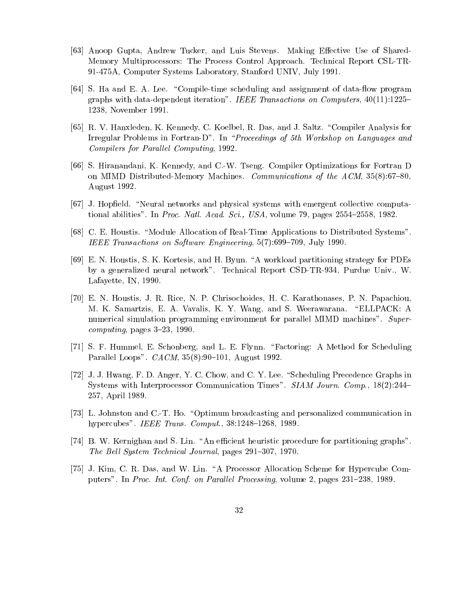- [63] Anoop Gupta, Andrew Tucker, and Luis Stevens. Making Effective Use of Shared-Memory Multiprocessors: The Process Control Approach. Technical Report CSL-TR-91-475A, Computer Systems Laboratory, Stanford UNIV, July 1991.
- [64] S. Ha and E. A. Lee. "Compile-time scheduling and assignment of data-flow program graphs with data-dependent iteration". IEEE Transactions on Computers,  $40(11):1225-$ 1238, November 1991.
- [65] R. V. Hanxleden, K. Kennedy, C. Koelbel, R. Das, and J. Saltz. "Compiler Analysis for Irregular Problems in Fortran-D". In \Proceedings of 5th Workshop on Languages and Compilers for Parallel Computing, 1992.
- [66] S. Hiranandani, K. Kennedy, and C.-W. Tseng. Compiler Optimizations for Fortran D on MIMD Distributed-Memory Machines. *Communications of the ACM*,  $35(8):67{-}80$ , August 1992.
- [67] J. Hopfield. "Neural networks and physical systems with emergent collective computational abilities". In Proc. Natl. Acad. Sci., USA, volume 79, pages  $2554-2558$ , 1982.
- [68] C. E. Houstis. "Module Allocation of Real-Time Applications to Distributed Systems". IEEE Transactions on Software Engineering,  $5(7)$ :699-709, July 1990.
- [69] E. N. Houstis, S. K. Kortesis, and H. Byun. \A workload partitioning strategy for PDEs by a generalized neural network". Technical Report CSD-TR-934, Purdue Univ., W. Lafayette, IN, 1990.
- [70] E. N. Houstis, J. R. Rice, N. P. Chrisochoides, H. C. Karathonases, P. N. Papachiou, M. K. Samartzis, E. A. Vavalis, K. Y. Wang, and S. Weerawarana. "ELLPACK: A numerical simulation programming environment for parallel MIMD machines". Super $computing$ , pages  $3-23$ , 1990.
- [71] S. F. Hummel, E. Schonberg, and L. E. Flynn. \Factoring: A Method for Scheduling Parallel Loops".  $CACM$ ,  $35(8):90-101$ , August 1992.
- [72] J. J. Hwang, F. D. Anger, Y. C. Chow, and C. Y. Lee. "Scheduling Precedence Graphs in Systems with Interprocessor Communication Times". SIAM Journ. Comp., 18(2):244– 257, April 1989.
- [73] L. Johnston and C.-T. Ho. \Optimum broadcasting and personalized communication in hypercubes". IEEE Trans. Comput., 38:1248-1268, 1989.
- [74] B. W. Kernighan and S. Lin. "An efficient heuristic procedure for partitioning graphs". The Bell System Technical Journal, pages 291-307, 1970.
- [75] J. Kim, C. R. Das, and W. Lin. \A Processor Allocation Scheme for Hypercube Computers". In Proc. Int. Conf. on Parallel Processing, volume 2, pages 231-238, 1989.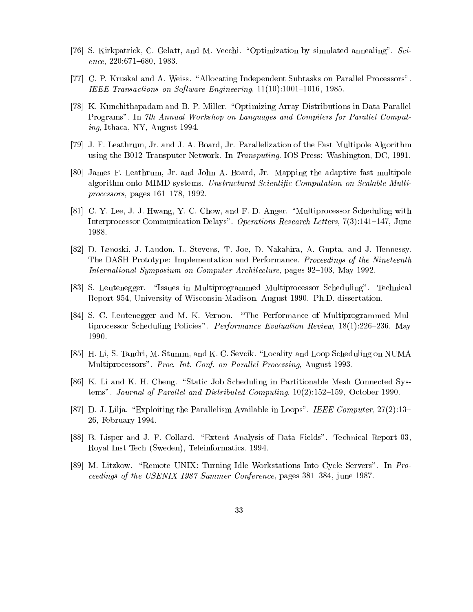- [76] S. Kirkpatrick, C. Gelatt, and M. Vecchi. "Optimization by simulated annealing".  $Sci$ ence,  $220:671{-}680$ , 1983.
- [77] C. P. Kruskal and A. Weiss. "Allocating Independent Subtasks on Parallel Processors". IEEE Transactions on Software Engineering,  $11(10):1001-1016$ , 1985.
- [78] K. Kunchithapadam and B. P. Miller. "Optimizing Array Distributions in Data-Parallel Programs". In 7th Annual Workshop on Languages and Compilers for Parallel Computing, Ithaca, NY, August 1994.
- [79] J. F. Leathrum, Jr. and J. A. Board, Jr. Parallelization of the Fast Multipole Algorithm using the B012 Transputer Network. In Transputing. IOS Press: Washington, DC, 1991.
- [80] James F. Leathrum, Jr. and John A. Board, Jr. Mapping the adaptive fast multipole algorithm onto MIMD systems. Unstructured Scientic Computation on Scalable Multi $processors$ , pages  $161-178$ , 1992.
- [81] C. Y. Lee, J. J. Hwang, Y. C. Chow, and F. D. Anger. "Multiprocessor Scheduling with Interprocessor Communication Delays". Operations Research Letters,  $7(3):141-147$ , June 1988.
- [82] D. Lenoski, J. Laudon, L. Stevens, T. Joe, D. Nakahira, A. Gupta, and J. Hennessy. The DASH Prototype: Implementation and Performance. Proceedings of the Nineteenth International Symposium on Computer Architecture, pages 92–103, May 1992.
- [83] S. Leutenegger. \Issues in Multiprogrammed Multiprocessor Scheduling". Technical Report 954, University of Wisconsin-Madison, August 1990. Ph.D. dissertation.
- [84] S. C. Leutenegger and M. K. Vernon. "The Performance of Multiprogrammed Multiprocessor Scheduling Policies". *Performance Evaluation Review*,  $18(1):226{-}236$ , May 1990.
- [85] H. Li, S. Tandri, M. Stumm, and K. C. Sevcik. "Locality and Loop Scheduling on NUMA Multiprocessors". Proc. Int. Conf. on Parallel Processing, August 1993.
- [86] K. Li and K. H. Cheng. "Static Job Scheduling in Partitionable Mesh Connected Systems". Journal of Parallel and Distributed Computing,  $10(2):152-159$ , October 1990.
- [87] D. J. Lilja. "Exploiting the Parallelism Available in Loops". IEEE Computer,  $27(2):13-$ 26, February 1994.
- [88] B. Lisper and J. F. Collard. \Extent Analysis of Data Fields". Technical Report 03, Royal Inst Tech (Sweden), Teleinformatics, 1994.
- [89] M. Litzkow. "Remote UNIX: Turning Idle Workstations Into Cycle Servers". In Proceedings of the USENIX 1987 Summer Conference, pages 381-384, june 1987.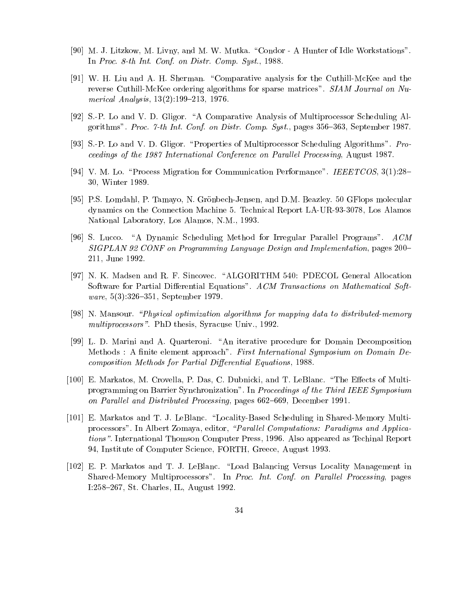- [90] M. J. Litzkow, M. Livny, and M. W. Mutka. "Condor A Hunter of Idle Workstations". In Proc. 8-th Int. Conf. on Distr. Comp. Syst., 1988.
- [91] W. H. Liu and A. H. Sherman. "Comparative analysis for the Cuthill-McKee and the reverse Cuthill-McKee ordering algorithms for sparse matrices". SIAM Journal on Numerical Analysis,  $13(2):199-213$ , 1976.
- [92] S.-P. Lo and V. D. Gligor. "A Comparative Analysis of Multiprocessor Scheduling Algorithms". Proc. 7-th Int. Conf. on Distr. Comp. Syst., pages 356-363, September 1987.
- [93] S.-P. Lo and V. D. Gligor. \Properties of Multiprocessor Scheduling Algorithms". Proceedings of the 1987 International Conference on Parallel Processing, August 1987.
- [94] V. M. Lo. "Process Migration for Communication Performance". IEEETCOS,  $3(1):28-$ 30, Winter 1989.
- [95] P.S. Lomdahl, P. Tamayo, N. Grönbech-Jensen, and D.M. Beazley. 50 GFlops molecular dynamics on the Connection Machine 5. Technical Report LA-UR-93-3078, Los Alamos National Laboratory, Los Alamos, N.M., 1993.
- [96] S. Lucco. \A Dynamic Scheduling Method for Irregular Parallel Programs". ACM SIGPLAN 92 CONF on Programming Language Design and Implementation, pages 200– 211, June 1992.
- [97] N. K. Madsen and R. F. Sincovec. \ALGORITHM 540: PDECOL General Allocation Software for Partial Differential Equations". ACM Transactions on Mathematical Software, 5(3):326-351, September 1979.
- [98] N. Mansour. "Physical optimization algorithms for mapping data to distributed-memory multiprocessors". PhD thesis, Syracuse Univ., 1992.
- [99] L. D. Marini and A. Quarteroni. \An iterative procedure for Domain Decomposition Methods : A finite element approach". First International Symposium on Domain Decomposition Methods for Partial Differential Equations, 1988.
- [100] E. Markatos, M. Crovella, P. Das, C. Dubnicki, and T. LeBlanc. "The Effects of Multiprogramming on Barrier Synchronization". In Proceedings of the Third IEEE Symposium on Parallel and Distributed Processing, pages 662-669, December 1991.
- [101] E. Markatos and T. J. LeBlanc. \Locality-Based Scheduling in Shared-Memory Multiprocessors". In Albert Zomaya, editor, "Parallel Computations: Paradigms and Applications". International Thomson Computer Press, 1996. Also appeared as Techinal Report 94, Institute of Computer Science, FORTH, Greece, August 1993.
- [102] E. P. Markatos and T. J. LeBlanc. "Load Balancing Versus Locality Management in Shared-Memory Multiprocessors". In Proc. Int. Conf. on Parallel Processing, pages I:258{267, St. Charles, IL, August 1992.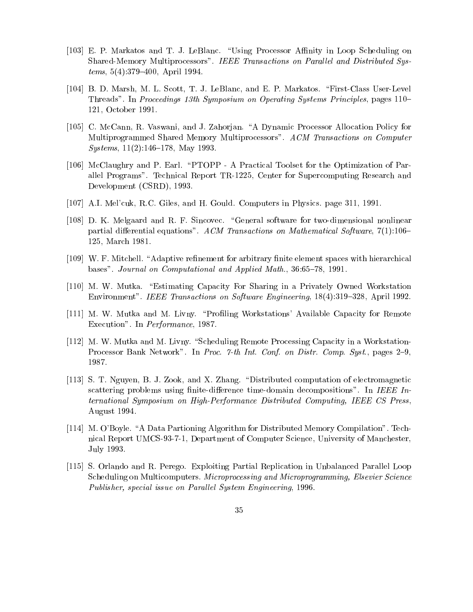- [103] E. P. Markatos and T. J. LeBlanc. "Using Processor Affinity in Loop Scheduling on Shared-Memory Multiprocessors". IEEE Transactions on Parallel and Distributed Sys $tems, 5(4):379-400,$  April 1994.
- [104] B. D. Marsh, M. L. Scott, T. J. LeBlanc, and E. P. Markatos. "First-Class User-Level Threads". In Proceedings 13th Symposium on Operating Systems Principles, pages 110– 121, October 1991.
- [105] C. McCann, R. Vaswani, and J. Zahorjan. "A Dynamic Processor Allocation Policy for Multiprogrammed Shared Memory Multiprocessors". ACM Transactions on Computer  $Systems, 11(2):146–178, May 1993.$
- [106] McClaughry and P. Earl. \PTOPP A Practical Toolset for the Optimization of Parallel Programs". Technical Report TR-1225, Center for Supercomputing Research and Development (CSRD), 1993.
- [107] A.I. Mel'cuk, R.C. Giles, and H. Gould. Computers in Physics. page 311, 1991.
- [108] D. K. Melgaard and R. F. Sincovec. "General software for two-dimensional nonlinear partial differential equations". ACM Transactions on Mathematical Software, 7(1):106-125, March 1981.
- [109] W. F. Mitchell. "Adaptive refinement for arbitrary finite element spaces with hierarchical bases". Journal on Computational and Applied Math., 36:65-78, 1991.
- [110] M. W. Mutka. \Estimating Capacity For Sharing in a Privately Owned Workstation Environment". IEEE Transactions on Software Engineering, 18(4):319-328, April 1992.
- [111] M. W. Mutka and M. Livny. "Profiling Workstations' Available Capacity for Remote Execution". In Performance, 1987.
- [112] M. W. Mutka and M. Livny. "Scheduling Remote Processing Capacity in a Workstation-Processor Bank Network". In Proc. 7-th Int. Conf. on Distr. Comp. Syst., pages 2-9, 1987.
- [113] S. T. Nguyen, B. J. Zook, and X. Zhang. \Distributed computation of electromagnetic scattering problems using finite-difference time-domain decompositions". In IEEE  $In$ ternational Symposium on High-Performance Distributed Computing, IEEE CS Press, August 1994.
- [114] M. O'Boyle. "A Data Partioning Algorithm for Distributed Memory Compilation". Technical Report UMCS-93-7-1, Department of Computer Science, University of Manchester, July 1993.
- [115] S. Orlando and R. Perego. Exploiting Partial Replication in Unbalanced Parallel Loop Scheduling on Multicomputers. Microprocessing and Microprogramming, Elsevier Science Publisher, special issue on Parallel System Engineering, 1996.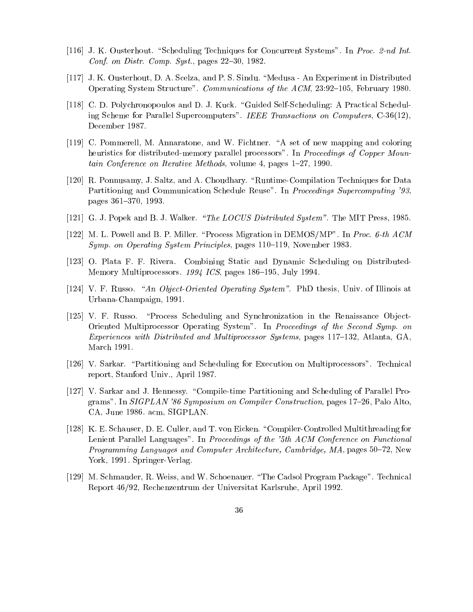- [116] J. K. Ousterhout. "Scheduling Techniques for Concurrent Systems". In Proc. 2-nd Int. Conf. on Distr. Comp. Syst., pages  $22-30$ , 1982.
- [117] J. K. Ousterhout, D. A. Scelza, and P. S. Sindu. "Medusa An Experiment in Distributed Operating System Structure". Communications of the ACM, 23:92-105, February 1980.
- [118] C. D. Polychronopoulos and D. J. Kuck. "Guided Self-Scheduling: A Practical Scheduling Scheme for Parallel Supercomputers". IEEE Transactions on Computers, C-36(12), December 1987.
- [119] C. Pommerell, M. Annaratone, and W. Fichtner. "A set of new mapping and coloring heuristics for distributed-memory parallel processors". In Proceedings of Copper Mountain Conference on Iterative Methods, volume 4, pages 1-27, 1990.
- [120] R. Ponnusamy, J. Saltz, and A. Choudhary. "Runtime-Compilation Techniques for Data Partitioning and Communication Schedule Reuse". In Proceedings Supercomputing '93, pages 361-370, 1993.
- [121] G. J. Popek and B. J. Walker. "The LOCUS Distributed System". The MIT Press, 1985.
- [122] M. L. Powell and B. P. Miller. "Process Migration in DEMOS/MP". In Proc. 6-th  $ACM$ Symp. on Operating System Principles, pages  $110-119$ , November 1983.
- [123] O. Plata F. F. Rivera. Combining Static and Dynamic Scheduling on Distributed-Memory Multiprocessors. 1994 ICS, pages 186-195, July 1994.
- [124] V. F. Russo. "An Object-Oriented Operating System". PhD thesis, Univ. of Illinois at Urbana-Champaign, 1991.
- [125] V. F. Russo. \Process Scheduling and Synchronization in the Renaissance Ob ject-Oriented Multiprocessor Operating System". In Proceedings of the Second Symp. on Experiences with Distributed and Multiprocessor Systems, pages  $117-132$ , Atlanta, GA, March 1991.
- [126] V. Sarkar. "Partitioning and Scheduling for Execution on Multiprocessors". Technical report, Stanford Univ., April 1987.
- [127] V. Sarkar and J. Hennessy. "Compile-time Partitioning and Scheduling of Parallel Programs". In  $SIGPLAN$  '86 Symposium on Compiler Construction, pages 17–26, Palo Alto, CA, June 1986. acm, SIGPLAN.
- [128] K. E. Schauser, D. E. Culler, and T. von Eicken. "Compiler-Controlled Multithreading for Lenient Parallel Languages". In Proceedings of the '5th ACM Conference on Functional Programming Languages and Computer Architecture, Cambridge, MA, pages 50-72, New York, 1991. Springer-Verlag.
- [129] M. Schmauder, R. Weiss, and W. Schoenauer. \The Cadsol Program Package". Technical Report 46/92, Rechenzentrum der Universitat Karlsruhe, April 1992.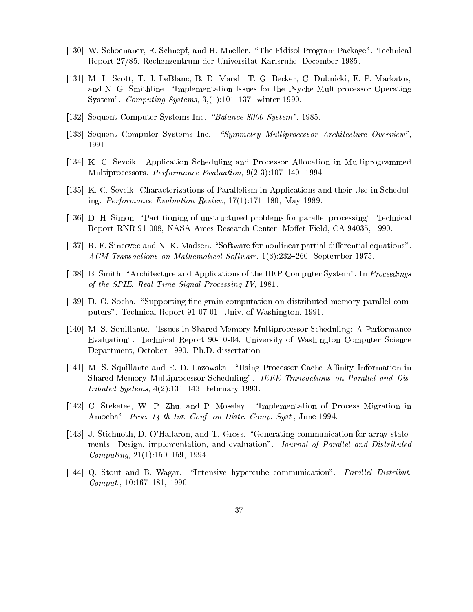- [130] W. Schoenauer, E. Schnepf, and H. Mueller. \The Fidisol Program Package". Technical Report 27/85, Rechenzentrum der Universitat Karlsruhe, December 1985.
- [131] M. L. Scott, T. J. LeBlanc, B. D. Marsh, T. G. Becker, C. Dubnicki, E. P. Markatos, and N. G. Smithline. \Implementation Issues for the Psyche Multiprocessor Operating System". Computing Systems,  $3.(1):101-137$ , winter 1990.
- [132] Sequent Computer Systems Inc. "Balance 8000 System", 1985.
- [133] Sequent Computer Systems Inc. "Symmetry Multiprocessor Architecture Overview", 1991.
- [134] K. C. Sevcik. Application Scheduling and Processor Allocation in Multiprogrammed Multiprocessors. *Performance Evaluation*,  $9(2-3):107-140$ , 1994.
- [135] K. C. Sevcik. Characterizations of Parallelism in Applications and their Use in Scheduling. Performance Evaluation Review,  $17(1):171-180$ , May 1989.
- [136] D. H. Simon. \Partitioning of unstructured problems for parallel processing". Technical Report RNR-91-008, NASA Ames Research Center, Moffet Field, CA 94035, 1990.
- [137] R. F. Sincovec and N. K. Madsen. "Software for nonlinear partial differential equations". ACM Transactions on Mathematical Software, 1(3):232-260, September 1975.
- [138] B. Smith. "Architecture and Applications of the HEP Computer System". In Proceedings of the SPIE, Real-Time Signal Processing IV, 1981.
- [139] D. G. Socha. "Supporting fine-grain computation on distributed memory parallel computers". Technical Report 91-07-01, Univ. of Washington, 1991.
- [140] M. S. Squillante. \Issues in Shared-Memory Multiprocessor Scheduling: A Performance Evaluation". Technical Report 90-10-04, University of Washington Computer Science Department, October 1990. Ph.D. dissertation.
- [141] M. S. Squillante and E. D. Lazowska. "Using Processor-Cache Affinity Information in Shared-Memory Multiprocessor Scheduling". IEEE Transactions on Parallel and Distributed Systems,  $4(2):131-143$ , February 1993.
- [142] C. Steketee, W. P. Zhu, and P. Moseley. \Implementation of Process Migration in Amoeba". Proc. 14-th Int. Conf. on Distr. Comp. Syst., June 1994.
- [143] J. Stichnoth, D. O'Hallaron, and T. Gross. "Generating communication for array statements: Design, implementation, and evaluation". Journal of Parallel and Distributed Computing,  $21(1):150-159$ , 1994.
- [144] Q. Stout and B. Wagar. "Intensive hypercube communication". Parallel Distribut.  $Comput., 10:167-181, 1990.$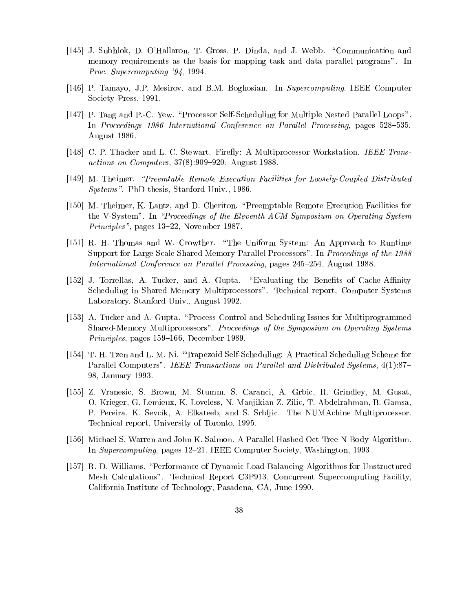- [145] J. Subhlok, D. O'Hallaron, T. Gross, P. Dinda, and J. Webb. "Communication and memory requirements as the basis for mapping task and data parallel programs". In Proc. Supercomputing '94, 1994.
- [146] P. Tamayo, J.P. Mesirov, and B.M. Boghosian. In Supercomputing. IEEE Computer Society Press, 1991.
- [147] P. Tang and P.-C. Yew. "Processor Self-Scheduling for Multiple Nested Parallel Loops". In Proceedings 1986 International Conference on Parallel Processing, pages 528-535, August 1986.
- [148] C. P. Thacker and L. C. Stewart. Firefly: A Multiprocessor Workstation. IEEE Transactions on Computers,  $37(8):909-920$ , August 1988.
- [149] M. Theimer. "Preemtable Remote Execution Facilities for Loosely-Coupled Distributed Systems". PhD thesis, Stanford Univ., 1986.
- [150] M. Theimer, K. Lantz, and D. Cheriton. "Preemptable Remote Execution Facilities for the V-System". In "Proceedings of the Eleventh ACM Symposium on Operating System *Principles"*, pages  $13-22$ , November 1987.
- [151] R. H. Thomas and W. Crowther. \The Uniform System: An Approach to Runtime Support for Large Scale Shared Memory Parallel Processors". In Proceedings of the 1988 International Conference on Parallel Processing, pages 245-254, August 1988.
- [152] J. Torrellas, A. Tucker, and A. Gupta. "Evaluating the Benefits of Cache-Affinity Scheduling in Shared-Memory Multiprocessors". Technical report, Computer Systems Laboratory, Stanford Univ., August 1992.
- [153] A. Tucker and A. Gupta. \Process Control and Scheduling Issues for Multiprogrammed Shared-Memory Multiprocessors". Proceedings of the Symposium on Operating Systems *Principles*, pages  $159–166$ , December 1989.
- [154] T. H. Tzen and L. M. Ni. \Trapezoid Self-Scheduling: A Practical Scheduling Scheme for Parallel Computers". IEEE Transactions on Parallel and Distributed Systems, 4(1):87-98, January 1993.
- [155] Z. Vranesic, S. Brown, M. Stumm, S. Caranci, A. Grbic, R. Grindley, M. Gusat, O. Krieger, G. Lemieux, K. Loveless, N. Manjikian Z. Zilic, T. Abdelrahman, B. Gamsa, P. Pereira, K. Sevcik, A. Elkateeb, and S. Srbljic. The NUMAchine Multiprocessor. Technical report, University of Toronto, 1995.
- [156] Michael S. Warren and John K. Salmon. A Parallel Hashed Oct-Tree N-Body Algorithm. In Supercomputing, pages 12-21. IEEE Computer Society, Washington, 1993.
- [157] R. D. Williams. "Performance of Dynamic Load Balancing Algorithms for Unstructured Mesh Calculations". Technical Report C3P913, Concurrent Supercomputing Facility, California Institute of Technology, Pasadena, CA, June 1990.